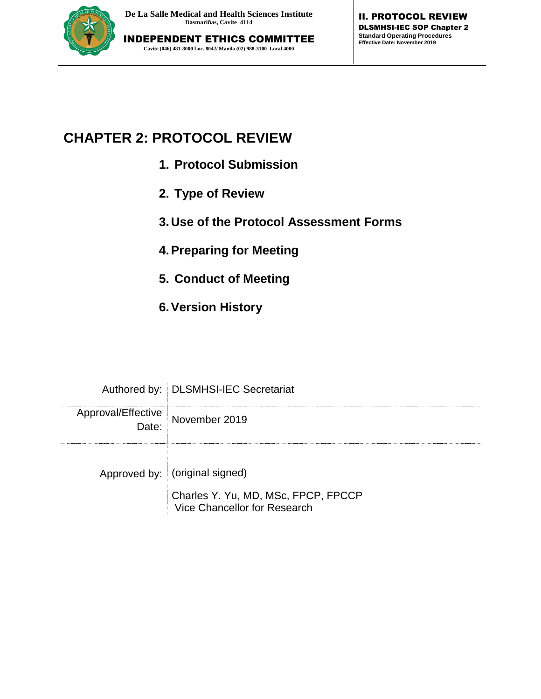

# **CHAPTER 2: PROTOCOL REVIEW**

- **1. Protocol Submission**
- **2. Type of Review**
- **3.Use of the Protocol Assessment Forms**
- **4.Preparing for Meeting**
- **5. Conduct of Meeting**
- **6.Version History**

|                             | Authored by:   DLSMHSI-IEC Secretariat                              |
|-----------------------------|---------------------------------------------------------------------|
| Approval/Effective<br>:Date | November 2019                                                       |
|                             | Approved by: (original signed)                                      |
|                             | Charles Y. Yu, MD, MSc, FPCP, FPCCP<br>Vice Chancellor for Research |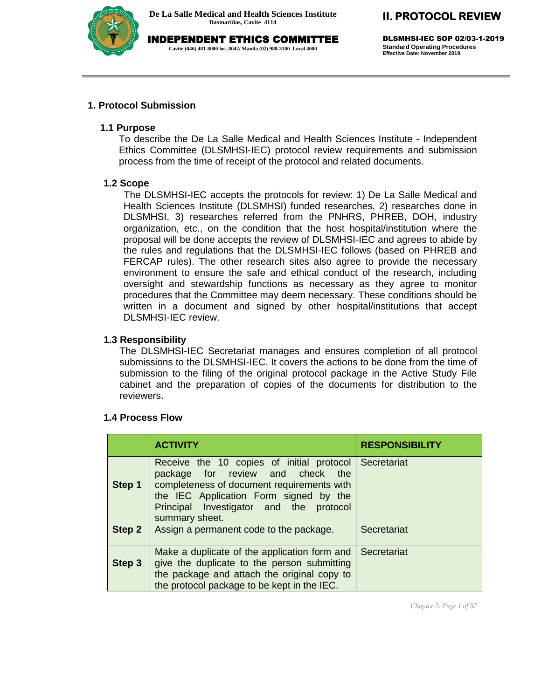

# **II. PROTOCOL REVIEW**

DLSMHSI-IEC SOP 02/03-1-2019 **Standard Operating Procedures Effective Date: November 2019**

#### **1. Protocol Submission**

#### **1.1 Purpose**

To describe the De La Salle Medical and Health Sciences Institute - Independent Ethics Committee (DLSMHSI-IEC) protocol review requirements and submission process from the time of receipt of the protocol and related documents.

#### **1.2 Scope**

The DLSMHSI-IEC accepts the protocols for review: 1) De La Salle Medical and Health Sciences Institute (DLSMHSI) funded researches, 2) researches done in DLSMHSI, 3) researches referred from the PNHRS, PHREB, DOH, industry organization, etc., on the condition that the host hospital/institution where the proposal will be done accepts the review of DLSMHSI-IEC and agrees to abide by the rules and regulations that the DLSMHSI-IEC follows (based on PHREB and FERCAP rules). The other research sites also agree to provide the necessary environment to ensure the safe and ethical conduct of the research, including oversight and stewardship functions as necessary as they agree to monitor procedures that the Committee may deem necessary. These conditions should be written in a document and signed by other hospital/institutions that accept DLSMHSI-IEC review.

#### **1.3 Responsibility**

The DLSMHSI-IEC Secretariat manages and ensures completion of all protocol submissions to the DLSMHSI-IEC. It covers the actions to be done from the time of submission to the filing of the original protocol package in the Active Study File cabinet and the preparation of copies of the documents for distribution to the reviewers.

#### **1.4 Process Flow**

|               | <b>ACTIVITY</b>                                                                                                                                                                                                                                   | <b>RESPONSIBILITY</b> |
|---------------|---------------------------------------------------------------------------------------------------------------------------------------------------------------------------------------------------------------------------------------------------|-----------------------|
| Step 1        | Receive the 10 copies of initial protocol Secretariat<br>package for review and check the<br>completeness of document requirements with<br>the IEC Application Form signed by the<br>Principal Investigator and the<br>protocol<br>summary sheet. |                       |
| <b>Step 2</b> | Assign a permanent code to the package.                                                                                                                                                                                                           | Secretariat           |
| Step 3        | Make a duplicate of the application form and<br>give the duplicate to the person submitting<br>the package and attach the original copy to<br>the protocol package to be kept in the IEC.                                                         | Secretariat           |

*Chapter 2: Page 1 of 57*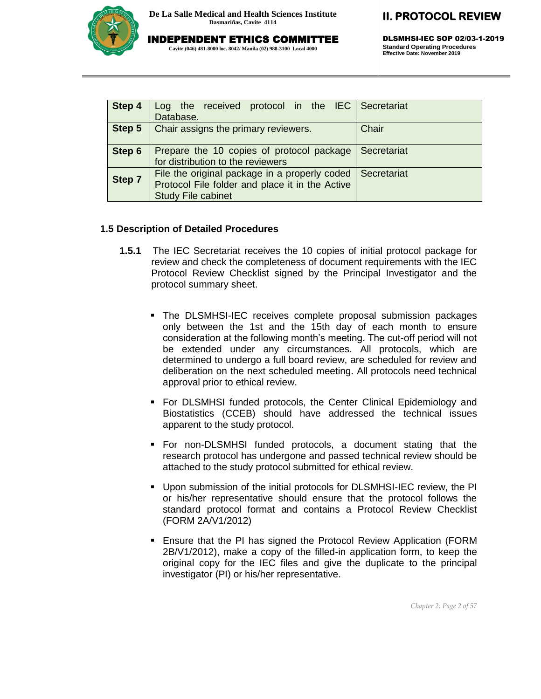

INDEPENDENT ETHICS COMMITTEE

**Cavite (046) 481-8000 loc. 8042/ Manila (02) 988-3100 Local 4000**

# **II. PROTOCOL REVIEW**

DLSMHSI-IEC SOP 02/03-1-2019 **Standard Operating Procedures Effective Date: November 2019**

| Step 4 | Log the received protocol in the IEC Secretariat<br>Database.                                                                 |             |
|--------|-------------------------------------------------------------------------------------------------------------------------------|-------------|
| Step 5 | Chair assigns the primary reviewers.                                                                                          | Chair       |
| Step 6 | Prepare the 10 copies of protocol package<br>for distribution to the reviewers                                                | Secretariat |
| Step 7 | File the original package in a properly coded<br>Protocol File folder and place it in the Active<br><b>Study File cabinet</b> | Secretariat |

#### **1.5 Description of Detailed Procedures**

- **1.5.1** The IEC Secretariat receives the 10 copies of initial protocol package for review and check the completeness of document requirements with the IEC Protocol Review Checklist signed by the Principal Investigator and the protocol summary sheet.
	- The DLSMHSI-IEC receives complete proposal submission packages only between the 1st and the 15th day of each month to ensure consideration at the following month's meeting. The cut-off period will not be extended under any circumstances. All protocols, which are determined to undergo a full board review, are scheduled for review and deliberation on the next scheduled meeting. All protocols need technical approval prior to ethical review.
	- For DLSMHSI funded protocols, the Center Clinical Epidemiology and Biostatistics (CCEB) should have addressed the technical issues apparent to the study protocol.
	- For non-DLSMHSI funded protocols, a document stating that the research protocol has undergone and passed technical review should be attached to the study protocol submitted for ethical review.
	- Upon submission of the initial protocols for DLSMHSI-IEC review, the PI or his/her representative should ensure that the protocol follows the standard protocol format and contains a Protocol Review Checklist (FORM 2A/V1/2012)
	- Ensure that the PI has signed the Protocol Review Application (FORM 2B/V1/2012), make a copy of the filled-in application form, to keep the original copy for the IEC files and give the duplicate to the principal investigator (PI) or his/her representative.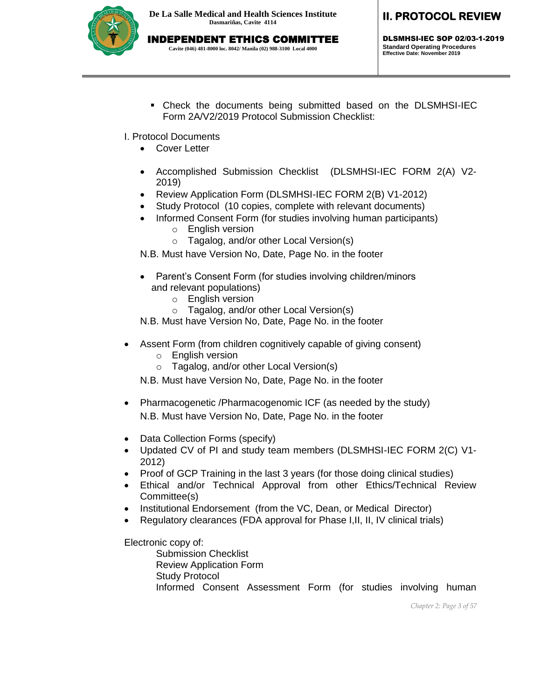

# INDEPENDENT ETHICS COMMITTEE

**Cavite (046) 481-8000 loc. 8042/ Manila (02) 988-3100 Local 4000**

# **II. PROTOCOL REVIEW**

DLSMHSI-IEC SOP 02/03-1-2019 **Standard Operating Procedures Effective Date: November 2019**

- Check the documents being submitted based on the DLSMHSI-IEC Form 2A/V2/2019 Protocol Submission Checklist:
- I. Protocol Documents
	- Cover Letter
	- Accomplished Submission Checklist (DLSMHSI-IEC FORM 2(A) V2- 2019)
	- Review Application Form (DLSMHSI-IEC FORM 2(B) V1-2012)
	- Study Protocol (10 copies, complete with relevant documents)
	- Informed Consent Form (for studies involving human participants) o English version
		- o Tagalog, and/or other Local Version(s)

N.B. Must have Version No, Date, Page No. in the footer

- Parent's Consent Form (for studies involving children/minors and relevant populations)
	- o English version
	- o Tagalog, and/or other Local Version(s)

N.B. Must have Version No, Date, Page No. in the footer

- Assent Form (from children cognitively capable of giving consent)
	- o English version
	- o Tagalog, and/or other Local Version(s)

N.B. Must have Version No, Date, Page No. in the footer

- Pharmacogenetic /Pharmacogenomic ICF (as needed by the study) N.B. Must have Version No, Date, Page No. in the footer
- Data Collection Forms (specify)
- Updated CV of PI and study team members (DLSMHSI-IEC FORM 2(C) V1- 2012)
- Proof of GCP Training in the last 3 years (for those doing clinical studies)
- Ethical and/or Technical Approval from other Ethics/Technical Review Committee(s)
- Institutional Endorsement (from the VC, Dean, or Medical Director)
- Regulatory clearances (FDA approval for Phase I,II, II, IV clinical trials)

Electronic copy of: Submission Checklist Review Application Form Study Protocol Informed Consent Assessment Form (for studies involving human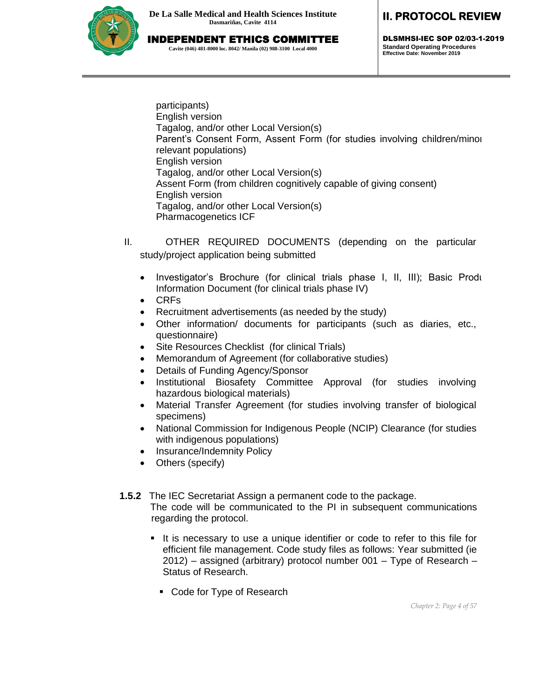

INDEPENDENT ETHICS COMMITTEE **Cavite (046) 481-8000 loc. 8042/ Manila (02) 988-3100 Local 4000**

DLSMHSI-IEC SOP 02/03-1-2019 **Standard Operating Procedures Effective Date: November 2019**

participants) English version Tagalog, and/or other Local Version(s) Parent's Consent Form, Assent Form (for studies involving children/minors relevant populations) English version Tagalog, and/or other Local Version(s) Assent Form (from children cognitively capable of giving consent) English version Tagalog, and/or other Local Version(s) Pharmacogenetics ICF

- II. OTHER REQUIRED DOCUMENTS (depending on the particular study/project application being submitted
	- $\bullet$  Investigator's Brochure (for clinical trials phase I, II, III); Basic Produ Information Document (for clinical trials phase IV)
	- CRFs
	- Recruitment advertisements (as needed by the study)
	- Other information/ documents for participants (such as diaries, etc., questionnaire)
	- Site Resources Checklist (for clinical Trials)
	- Memorandum of Agreement (for collaborative studies)
	- Details of Funding Agency/Sponsor
	- Institutional Biosafety Committee Approval (for studies involving hazardous biological materials)
	- Material Transfer Agreement (for studies involving transfer of biological specimens)
	- National Commission for Indigenous People (NCIP) Clearance (for studies with indigenous populations)
	- Insurance/Indemnity Policy
	- Others (specify)
- **1.5.2** The IEC Secretariat Assign a permanent code to the package.

The code will be communicated to the PI in subsequent communications regarding the protocol.

- It is necessary to use a unique identifier or code to refer to this file for efficient file management. Code study files as follows: Year submitted (ie 2012) – assigned (arbitrary) protocol number 001 – Type of Research – Status of Research.
	- Code for Type of Research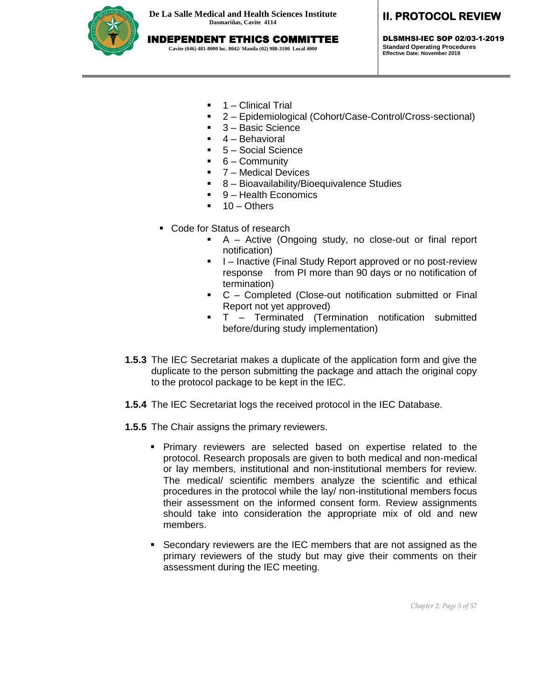

INDEPENDENT ETHICS COMMITTEE

**Cavite (046) 481-8000 loc. 8042/ Manila (02) 988-3100 Local 4000**

# **II. PROTOCOL REVIEW**

DLSMHSI-IEC SOP 02/03-1-2019 **Standard Operating Procedures Effective Date: November 2019**

- 1 Clinical Trial
- 2 Epidemiological (Cohort/Case-Control/Cross-sectional)
- 3 Basic Science
- 4 Behavioral
- 5 Social Science
- 6 Community
- 7 Medical Devices
- 8 Bioavailability/Bioequivalence Studies
- 9 Health Economics
- 10 Others
- Code for Status of research
	- A Active (Ongoing study, no close-out or final report notification)
	- I Inactive (Final Study Report approved or no post-review response from PI more than 90 days or no notification of termination)
	- C Completed (Close-out notification submitted or Final Report not yet approved)
	- T Terminated (Termination notification submitted before/during study implementation)
- **1.5.3** The IEC Secretariat makes a duplicate of the application form and give the duplicate to the person submitting the package and attach the original copy to the protocol package to be kept in the IEC.
- **1.5.4** The IEC Secretariat logs the received protocol in the IEC Database.
- **1.5.5** The Chair assigns the primary reviewers.
	- Primary reviewers are selected based on expertise related to the protocol. Research proposals are given to both medical and non-medical or lay members, institutional and non-institutional members for review. The medical/ scientific members analyze the scientific and ethical procedures in the protocol while the lay/ non-institutional members focus their assessment on the informed consent form. Review assignments should take into consideration the appropriate mix of old and new members.
	- Secondary reviewers are the IEC members that are not assigned as the primary reviewers of the study but may give their comments on their assessment during the IEC meeting.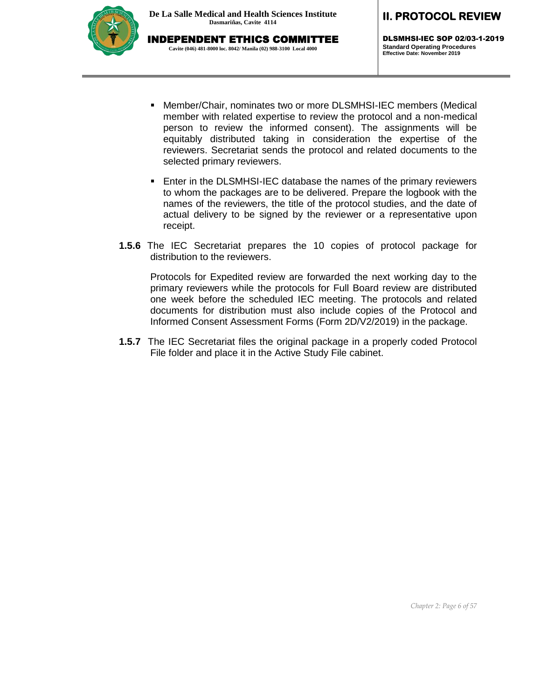

DLSMHSI-IEC SOP 02/03-1-2019 **Standard Operating Procedures Effective Date: November 2019**

- Member/Chair, nominates two or more DLSMHSI-IEC members (Medical member with related expertise to review the protocol and a non-medical person to review the informed consent). The assignments will be equitably distributed taking in consideration the expertise of the reviewers. Secretariat sends the protocol and related documents to the selected primary reviewers.
- Enter in the DLSMHSI-IEC database the names of the primary reviewers to whom the packages are to be delivered. Prepare the logbook with the names of the reviewers, the title of the protocol studies, and the date of actual delivery to be signed by the reviewer or a representative upon receipt.
- **1.5.6** The IEC Secretariat prepares the 10 copies of protocol package for distribution to the reviewers.

Protocols for Expedited review are forwarded the next working day to the primary reviewers while the protocols for Full Board review are distributed one week before the scheduled IEC meeting. The protocols and related documents for distribution must also include copies of the Protocol and Informed Consent Assessment Forms (Form 2D/V2/2019) in the package.

**1.5.7** The IEC Secretariat files the original package in a properly coded Protocol File folder and place it in the Active Study File cabinet.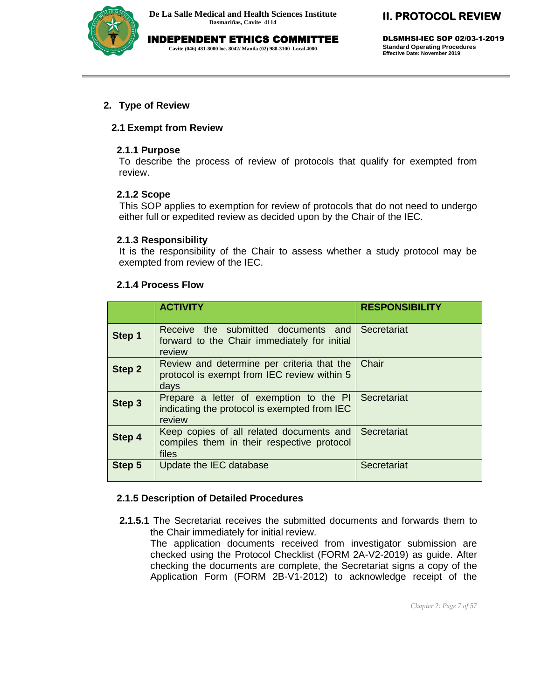

DLSMHSI-IEC SOP 02/03-1-2019 **Standard Operating Procedures Effective Date: November 2019**

#### **2. Type of Review**

#### **2.1 Exempt from Review**

#### **2.1.1 Purpose**

To describe the process of review of protocols that qualify for exempted from review.

#### **2.1.2 Scope**

This SOP applies to exemption for review of protocols that do not need to undergo either full or expedited review as decided upon by the Chair of the IEC.

#### **2.1.3 Responsibility**

It is the responsibility of the Chair to assess whether a study protocol may be exempted from review of the IEC.

#### **2.1.4 Process Flow**

|        | <b>ACTIVITY</b>                                                                                   | <b>RESPONSIBILITY</b> |
|--------|---------------------------------------------------------------------------------------------------|-----------------------|
| Step 1 | Receive the submitted documents and<br>forward to the Chair immediately for initial<br>review     | Secretariat           |
| Step 2 | Review and determine per criteria that the<br>protocol is exempt from IEC review within 5<br>days | Chair                 |
| Step 3 | Prepare a letter of exemption to the PI<br>indicating the protocol is exempted from IEC<br>review | Secretariat           |
| Step 4 | Keep copies of all related documents and<br>compiles them in their respective protocol<br>files   | Secretariat           |
| Step 5 | Update the IEC database                                                                           | Secretariat           |

#### **2.1.5 Description of Detailed Procedures**

**2.1.5.1** The Secretariat receives the submitted documents and forwards them to the Chair immediately for initial review.

 The application documents received from investigator submission are checked using the Protocol Checklist (FORM 2A-V2-2019) as guide. After checking the documents are complete, the Secretariat signs a copy of the Application Form (FORM 2B-V1-2012) to acknowledge receipt of the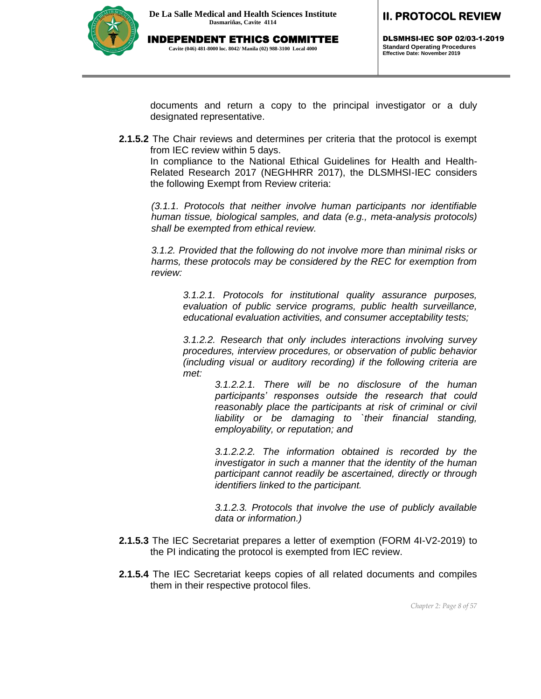

DLSMHSI-IEC SOP 02/03-1-2019 **Standard Operating Procedures Effective Date: November 2019**

documents and return a copy to the principal investigator or a duly designated representative.

**2.1.5.2** The Chair reviews and determines per criteria that the protocol is exempt from IEC review within 5 days.

In compliance to the National Ethical Guidelines for Health and Health-Related Research 2017 (NEGHHRR 2017), the DLSMHSI-IEC considers the following Exempt from Review criteria:

*(3.1.1. Protocols that neither involve human participants nor identifiable human tissue, biological samples, and data (e.g., meta-analysis protocols) shall be exempted from ethical review.* 

*3.1.2. Provided that the following do not involve more than minimal risks or harms, these protocols may be considered by the REC for exemption from review:* 

*3.1.2.1. Protocols for institutional quality assurance purposes, evaluation of public service programs, public health surveillance, educational evaluation activities, and consumer acceptability tests;* 

*3.1.2.2. Research that only includes interactions involving survey procedures, interview procedures, or observation of public behavior (including visual or auditory recording) if the following criteria are met:* 

> *3.1.2.2.1. There will be no disclosure of the human participants' responses outside the research that could reasonably place the participants at risk of criminal or civil liability or be damaging to `their financial standing, employability, or reputation; and*

> *3.1.2.2.2. The information obtained is recorded by the investigator in such a manner that the identity of the human participant cannot readily be ascertained, directly or through identifiers linked to the participant.*

> *3.1.2.3. Protocols that involve the use of publicly available data or information.)*

- **2.1.5.3** The IEC Secretariat prepares a letter of exemption (FORM 4I-V2-2019) to the PI indicating the protocol is exempted from IEC review.
- **2.1.5.4** The IEC Secretariat keeps copies of all related documents and compiles them in their respective protocol files.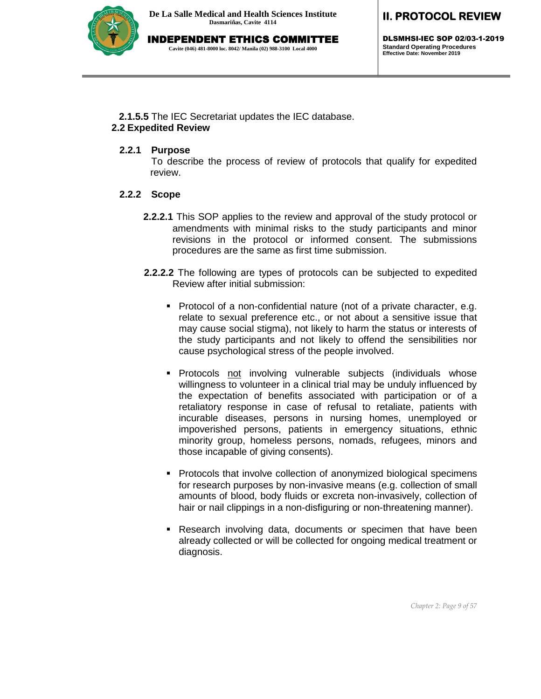

INDEPENDENT ETHICS COMMITTEE

**Cavite (046) 481-8000 loc. 8042/ Manila (02) 988-3100 Local 4000**

# **II. PROTOCOL REVIEW**

DLSMHSI-IEC SOP 02/03-1-2019 **Standard Operating Procedures Effective Date: November 2019**

**2.1.5.5** The IEC Secretariat updates the IEC database.

### **2.2 Expedited Review**

### **2.2.1 Purpose**

To describe the process of review of protocols that qualify for expedited review.

### **2.2.2 Scope**

- **2.2.2.1** This SOP applies to the review and approval of the study protocol or amendments with minimal risks to the study participants and minor revisions in the protocol or informed consent. The submissions procedures are the same as first time submission.
- **2.2.2.2** The following are types of protocols can be subjected to expedited Review after initial submission:
	- Protocol of a non-confidential nature (not of a private character, e.g. relate to sexual preference etc., or not about a sensitive issue that may cause social stigma), not likely to harm the status or interests of the study participants and not likely to offend the sensibilities nor cause psychological stress of the people involved.
	- Protocols not involving vulnerable subjects (individuals whose willingness to volunteer in a clinical trial may be unduly influenced by the expectation of benefits associated with participation or of a retaliatory response in case of refusal to retaliate, patients with incurable diseases, persons in nursing homes, unemployed or impoverished persons, patients in emergency situations, ethnic minority group, homeless persons, nomads, refugees, minors and those incapable of giving consents).
	- Protocols that involve collection of anonymized biological specimens for research purposes by non-invasive means (e.g. collection of small amounts of blood, body fluids or excreta non-invasively, collection of hair or nail clippings in a non-disfiguring or non-threatening manner).
	- Research involving data, documents or specimen that have been already collected or will be collected for ongoing medical treatment or diagnosis.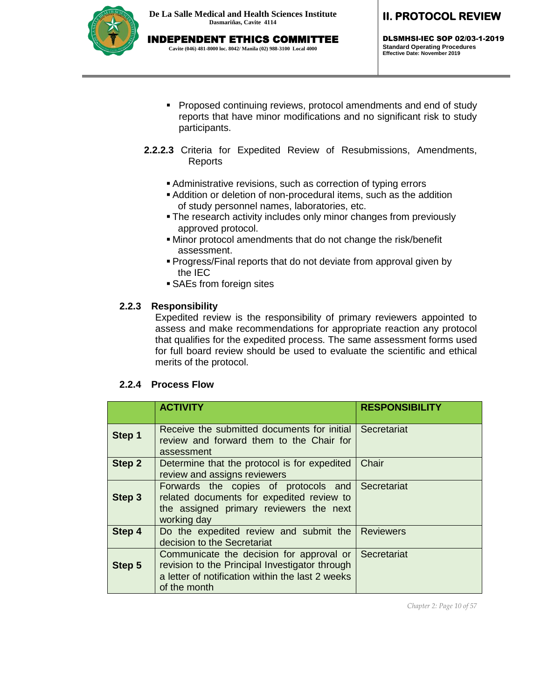

**Cavite (046) 481-8000 loc. 8042/ Manila (02) 988-3100 Local 4000**

# **II. PROTOCOL REVIEW**

DLSMHSI-IEC SOP 02/03-1-2019 **Standard Operating Procedures Effective Date: November 2019**

- **Proposed continuing reviews, protocol amendments and end of study** reports that have minor modifications and no significant risk to study participants.
- **2.2.2.3** Criteria for Expedited Review of Resubmissions, Amendments, Reports
	- Administrative revisions, such as correction of typing errors
	- Addition or deletion of non-procedural items, such as the addition of study personnel names, laboratories, etc.
	- **The research activity includes only minor changes from previously** approved protocol.
	- Minor protocol amendments that do not change the risk/benefit assessment.
	- Progress/Final reports that do not deviate from approval given by the IEC
	- SAEs from foreign sites

#### **2.2.3 Responsibility**

Expedited review is the responsibility of primary reviewers appointed to assess and make recommendations for appropriate reaction any protocol that qualifies for the expedited process. The same assessment forms used for full board review should be used to evaluate the scientific and ethical merits of the protocol.

#### **2.2.4 Process Flow**

|               | <b>ACTIVITY</b>                                                                                                                                                            | <b>RESPONSIBILITY</b> |
|---------------|----------------------------------------------------------------------------------------------------------------------------------------------------------------------------|-----------------------|
| Step 1        | Receive the submitted documents for initial Secretariat<br>review and forward them to the Chair for<br>assessment                                                          |                       |
| Step 2        | Determine that the protocol is for expedited<br>review and assigns reviewers                                                                                               | Chair                 |
| Step 3        | Forwards the copies of protocols and<br>related documents for expedited review to<br>the assigned primary reviewers the next<br>working day                                | Secretariat           |
| <b>Step 4</b> | Do the expedited review and submit the<br>decision to the Secretariat                                                                                                      | <b>Reviewers</b>      |
| Step 5        | Communicate the decision for approval or Secretariat<br>revision to the Principal Investigator through<br>a letter of notification within the last 2 weeks<br>of the month |                       |

*Chapter 2: Page 10 of 57*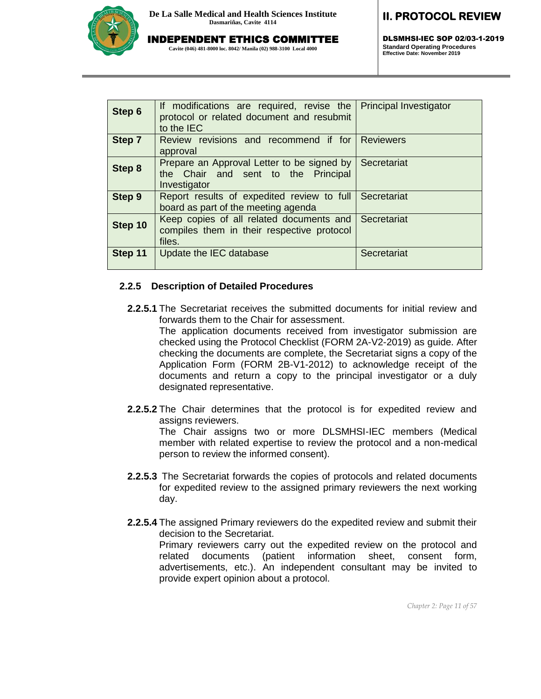

INDEPENDENT ETHICS COMMITTEE

**Cavite (046) 481-8000 loc. 8042/ Manila (02) 988-3100 Local 4000**

# **II. PROTOCOL REVIEW**

DLSMHSI-IEC SOP 02/03-1-2019 **Standard Operating Procedures Effective Date: November 2019**

| Step 6        | If modifications are required, revise the<br>protocol or related document and resubmit<br>to the IEC | <b>Principal Investigator</b> |
|---------------|------------------------------------------------------------------------------------------------------|-------------------------------|
| <b>Step 7</b> | Review revisions and recommend if for<br>approval                                                    | <b>Reviewers</b>              |
| Step 8        | Prepare an Approval Letter to be signed by<br>the Chair and sent to the Principal<br>Investigator    | Secretariat                   |
| <b>Step 9</b> | Report results of expedited review to full<br>board as part of the meeting agenda                    | Secretariat                   |
| Step 10       | Keep copies of all related documents and<br>compiles them in their respective protocol<br>files.     | Secretariat                   |
| Step 11       | Update the IEC database                                                                              | Secretariat                   |

#### **2.2.5 Description of Detailed Procedures**

**2.2.5.1** The Secretariat receives the submitted documents for initial review and forwards them to the Chair for assessment.

The application documents received from investigator submission are checked using the Protocol Checklist (FORM 2A-V2-2019) as guide. After checking the documents are complete, the Secretariat signs a copy of the Application Form (FORM 2B-V1-2012) to acknowledge receipt of the documents and return a copy to the principal investigator or a duly designated representative.

**2.2.5.2** The Chair determines that the protocol is for expedited review and assigns reviewers.

The Chair assigns two or more DLSMHSI-IEC members (Medical member with related expertise to review the protocol and a non-medical person to review the informed consent).

- **2.2.5.3** The Secretariat forwards the copies of protocols and related documents for expedited review to the assigned primary reviewers the next working day.
- **2.2.5.4** The assigned Primary reviewers do the expedited review and submit their decision to the Secretariat.

Primary reviewers carry out the expedited review on the protocol and related documents (patient information sheet, consent form, advertisements, etc.). An independent consultant may be invited to provide expert opinion about a protocol.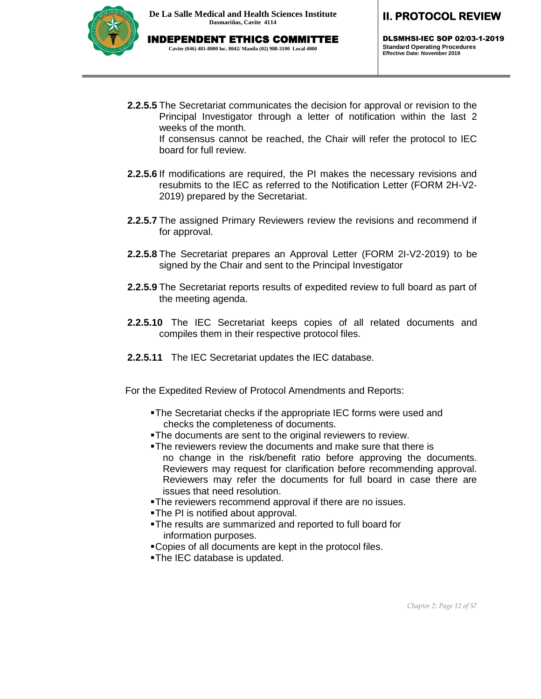

DLSMHSI-IEC SOP 02/03-1-2019 **Standard Operating Procedures Effective Date: November 2019**

- **2.2.5.5** The Secretariat communicates the decision for approval or revision to the Principal Investigator through a letter of notification within the last 2 weeks of the month. If consensus cannot be reached, the Chair will refer the protocol to IEC board for full review.
- **2.2.5.6** If modifications are required, the PI makes the necessary revisions and resubmits to the IEC as referred to the Notification Letter (FORM 2H-V2- 2019) prepared by the Secretariat.
- **2.2.5.7** The assigned Primary Reviewers review the revisions and recommend if for approval.
- **2.2.5.8** The Secretariat prepares an Approval Letter (FORM 2I-V2-2019) to be signed by the Chair and sent to the Principal Investigator
- **2.2.5.9** The Secretariat reports results of expedited review to full board as part of the meeting agenda.
- **2.2.5.10** The IEC Secretariat keeps copies of all related documents and compiles them in their respective protocol files.
- **2.2.5.11** The IEC Secretariat updates the IEC database.

For the Expedited Review of Protocol Amendments and Reports:

- The Secretariat checks if the appropriate IEC forms were used and checks the completeness of documents.
- The documents are sent to the original reviewers to review.
- The reviewers review the documents and make sure that there is no change in the risk/benefit ratio before approving the documents. Reviewers may request for clarification before recommending approval. Reviewers may refer the documents for full board in case there are issues that need resolution.
- The reviewers recommend approval if there are no issues.
- The PI is notified about approval.
- The results are summarized and reported to full board for information purposes.
- Copies of all documents are kept in the protocol files.
- The IEC database is updated.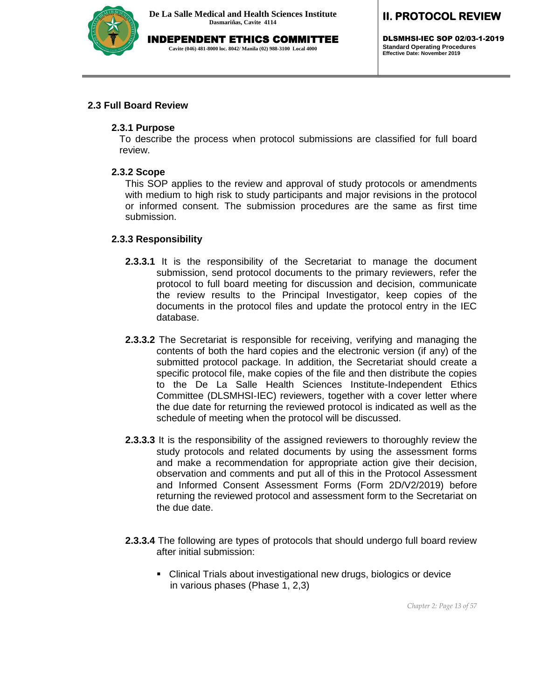

INDEPENDENT ETHICS COMMITTEE **Cavite (046) 481-8000 loc. 8042/ Manila (02) 988-3100 Local 4000**

## **II. PROTOCOL REVIEW**

DLSMHSI-IEC SOP 02/03-1-2019 **Standard Operating Procedures Effective Date: November 2019**

#### **2.3 Full Board Review**

#### **2.3.1 Purpose**

To describe the process when protocol submissions are classified for full board review.

#### **2.3.2 Scope**

This SOP applies to the review and approval of study protocols or amendments with medium to high risk to study participants and major revisions in the protocol or informed consent. The submission procedures are the same as first time submission.

#### **2.3.3 Responsibility**

- **2.3.3.1** It is the responsibility of the Secretariat to manage the document submission, send protocol documents to the primary reviewers, refer the protocol to full board meeting for discussion and decision, communicate the review results to the Principal Investigator, keep copies of the documents in the protocol files and update the protocol entry in the IEC database.
- **2.3.3.2** The Secretariat is responsible for receiving, verifying and managing the contents of both the hard copies and the electronic version (if any) of the submitted protocol package. In addition, the Secretariat should create a specific protocol file, make copies of the file and then distribute the copies to the De La Salle Health Sciences Institute-Independent Ethics Committee (DLSMHSI-IEC) reviewers, together with a cover letter where the due date for returning the reviewed protocol is indicated as well as the schedule of meeting when the protocol will be discussed.
- **2.3.3.3** It is the responsibility of the assigned reviewers to thoroughly review the study protocols and related documents by using the assessment forms and make a recommendation for appropriate action give their decision, observation and comments and put all of this in the Protocol Assessment and Informed Consent Assessment Forms (Form 2D/V2/2019) before returning the reviewed protocol and assessment form to the Secretariat on the due date.
- **2.3.3.4** The following are types of protocols that should undergo full board review after initial submission:
	- Clinical Trials about investigational new drugs, biologics or device in various phases (Phase 1, 2,3)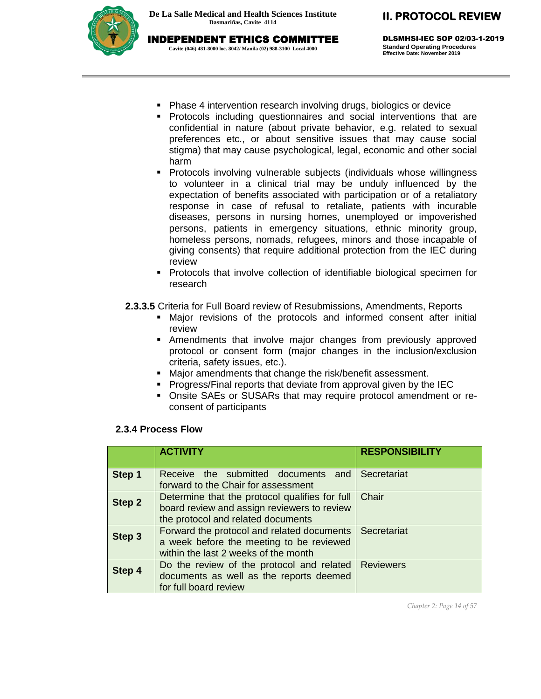

DLSMHSI-IEC SOP 02/03-1-2019 **Standard Operating Procedures Effective Date: November 2019**

- Phase 4 intervention research involving drugs, biologics or device
- Protocols including questionnaires and social interventions that are confidential in nature (about private behavior, e.g. related to sexual preferences etc., or about sensitive issues that may cause social stigma) that may cause psychological, legal, economic and other social harm
- Protocols involving vulnerable subjects (individuals whose willingness to volunteer in a clinical trial may be unduly influenced by the expectation of benefits associated with participation or of a retaliatory response in case of refusal to retaliate, patients with incurable diseases, persons in nursing homes, unemployed or impoverished persons, patients in emergency situations, ethnic minority group, homeless persons, nomads, refugees, minors and those incapable of giving consents) that require additional protection from the IEC during review
- **Protocols that involve collection of identifiable biological specimen for** research
- **2.3.3.5** Criteria for Full Board review of Resubmissions, Amendments, Reports
	- Major revisions of the protocols and informed consent after initial review
	- Amendments that involve major changes from previously approved protocol or consent form (major changes in the inclusion/exclusion criteria, safety issues, etc.).
	- Major amendments that change the risk/benefit assessment.
	- **Progress/Final reports that deviate from approval given by the IEC**
	- Onsite SAEs or SUSARs that may require protocol amendment or reconsent of participants

### **2.3.4 Process Flow**

|               | <b>ACTIVITY</b>                                                                                                                     | <b>RESPONSIBILITY</b> |
|---------------|-------------------------------------------------------------------------------------------------------------------------------------|-----------------------|
| Step 1        | Receive the submitted documents and<br>forward to the Chair for assessment                                                          | Secretariat           |
| <b>Step 2</b> | Determine that the protocol qualifies for full<br>board review and assign reviewers to review<br>the protocol and related documents | Chair                 |
| Step 3        | Forward the protocol and related documents<br>a week before the meeting to be reviewed<br>within the last 2 weeks of the month      | Secretariat           |
| Step 4        | Do the review of the protocol and related<br>documents as well as the reports deemed<br>for full board review                       | <b>Reviewers</b>      |

*Chapter 2: Page 14 of 57*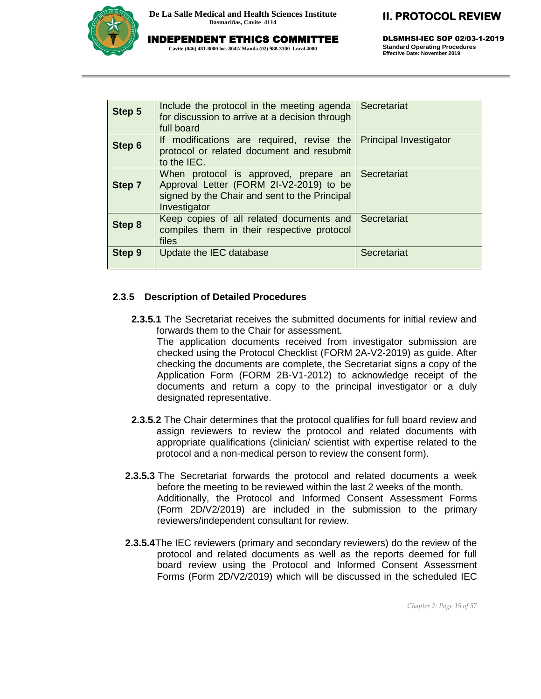

INDEPENDENT ETHICS COMMITTEE

**Cavite (046) 481-8000 loc. 8042/ Manila (02) 988-3100 Local 4000**

# **II. PROTOCOL REVIEW**

DLSMHSI-IEC SOP 02/03-1-2019 **Standard Operating Procedures Effective Date: November 2019**

| Step 5        | Include the protocol in the meeting agenda<br>for discussion to arrive at a decision through<br>full board                                                    | Secretariat                   |
|---------------|---------------------------------------------------------------------------------------------------------------------------------------------------------------|-------------------------------|
| Step 6        | If modifications are required, revise the<br>protocol or related document and resubmit<br>to the IEC.                                                         | <b>Principal Investigator</b> |
| Step 7        | When protocol is approved, prepare an Secretariat<br>Approval Letter (FORM 2I-V2-2019) to be<br>signed by the Chair and sent to the Principal<br>Investigator |                               |
| <b>Step 8</b> | Keep copies of all related documents and<br>compiles them in their respective protocol<br>files                                                               | Secretariat                   |
| <b>Step 9</b> | Update the IEC database                                                                                                                                       | Secretariat                   |

#### **2.3.5 Description of Detailed Procedures**

**2.3.5.1** The Secretariat receives the submitted documents for initial review and forwards them to the Chair for assessment.

The application documents received from investigator submission are checked using the Protocol Checklist (FORM 2A-V2-2019) as guide. After checking the documents are complete, the Secretariat signs a copy of the Application Form (FORM 2B-V1-2012) to acknowledge receipt of the documents and return a copy to the principal investigator or a duly designated representative.

- **2.3.5.2** The Chair determines that the protocol qualifies for full board review and assign reviewers to review the protocol and related documents with appropriate qualifications (clinician/ scientist with expertise related to the protocol and a non-medical person to review the consent form).
- **2.3.5.3** The Secretariat forwards the protocol and related documents a week before the meeting to be reviewed within the last 2 weeks of the month. Additionally, the Protocol and Informed Consent Assessment Forms (Form 2D/V2/2019) are included in the submission to the primary reviewers/independent consultant for review.
- **2.3.5.4**The IEC reviewers (primary and secondary reviewers) do the review of the protocol and related documents as well as the reports deemed for full board review using the Protocol and Informed Consent Assessment Forms (Form 2D/V2/2019) which will be discussed in the scheduled IEC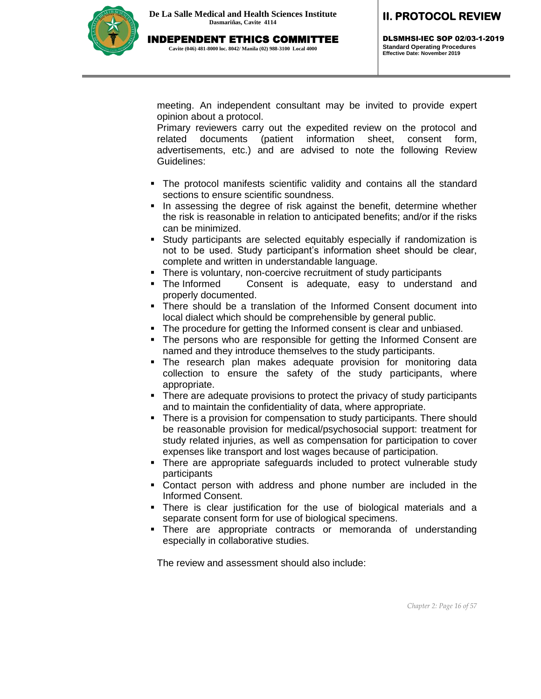

DLSMHSI-IEC SOP 02/03-1-2019 **Standard Operating Procedures Effective Date: November 2019**

meeting. An independent consultant may be invited to provide expert opinion about a protocol.

Primary reviewers carry out the expedited review on the protocol and related documents (patient information sheet, consent form, advertisements, etc.) and are advised to note the following Review Guidelines:

- The protocol manifests scientific validity and contains all the standard sections to ensure scientific soundness.
- In assessing the degree of risk against the benefit, determine whether the risk is reasonable in relation to anticipated benefits; and/or if the risks can be minimized.
- Study participants are selected equitably especially if randomization is not to be used. Study participant's information sheet should be clear, complete and written in understandable language.
- There is voluntary, non-coercive recruitment of study participants
- The Informed Consent is adequate, easy to understand and properly documented.
- There should be a translation of the Informed Consent document into local dialect which should be comprehensible by general public.
- The procedure for getting the Informed consent is clear and unbiased.
- The persons who are responsible for getting the Informed Consent are named and they introduce themselves to the study participants.
- The research plan makes adequate provision for monitoring data collection to ensure the safety of the study participants, where appropriate.
- There are adequate provisions to protect the privacy of study participants and to maintain the confidentiality of data, where appropriate.
- There is a provision for compensation to study participants. There should be reasonable provision for medical/psychosocial support: treatment for study related injuries, as well as compensation for participation to cover expenses like transport and lost wages because of participation.
- There are appropriate safeguards included to protect vulnerable study participants
- Contact person with address and phone number are included in the Informed Consent.
- There is clear justification for the use of biological materials and a separate consent form for use of biological specimens.
- There are appropriate contracts or memoranda of understanding especially in collaborative studies.

The review and assessment should also include: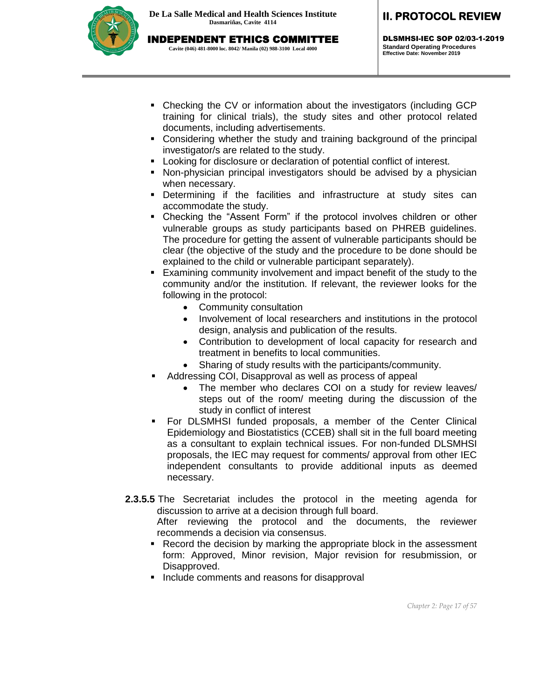

DLSMHSI-IEC SOP 02/03-1-2019 **Standard Operating Procedures Effective Date: November 2019**

- Checking the CV or information about the investigators (including GCP training for clinical trials), the study sites and other protocol related documents, including advertisements.
- Considering whether the study and training background of the principal investigator/s are related to the study.
- Looking for disclosure or declaration of potential conflict of interest.
- Non-physician principal investigators should be advised by a physician when necessary.
- Determining if the facilities and infrastructure at study sites can accommodate the study.
- Checking the "Assent Form" if the protocol involves children or other vulnerable groups as study participants based on PHREB guidelines. The procedure for getting the assent of vulnerable participants should be clear (the objective of the study and the procedure to be done should be explained to the child or vulnerable participant separately).
- Examining community involvement and impact benefit of the study to the community and/or the institution. If relevant, the reviewer looks for the following in the protocol:
	- Community consultation
	- Involvement of local researchers and institutions in the protocol design, analysis and publication of the results.
	- Contribution to development of local capacity for research and treatment in benefits to local communities.
	- Sharing of study results with the participants/community.
	- Addressing COI, Disapproval as well as process of appeal
		- The member who declares COI on a study for review leaves/ steps out of the room/ meeting during the discussion of the study in conflict of interest
- For DLSMHSI funded proposals, a member of the Center Clinical Epidemiology and Biostatistics (CCEB) shall sit in the full board meeting as a consultant to explain technical issues. For non-funded DLSMHSI proposals, the IEC may request for comments/ approval from other IEC independent consultants to provide additional inputs as deemed necessary.
- **2.3.5.5** The Secretariat includes the protocol in the meeting agenda for discussion to arrive at a decision through full board.

After reviewing the protocol and the documents, the reviewer recommends a decision via consensus.

- **Record the decision by marking the appropriate block in the assessment** form: Approved, Minor revision, Major revision for resubmission, or Disapproved.
- **Include comments and reasons for disapproval**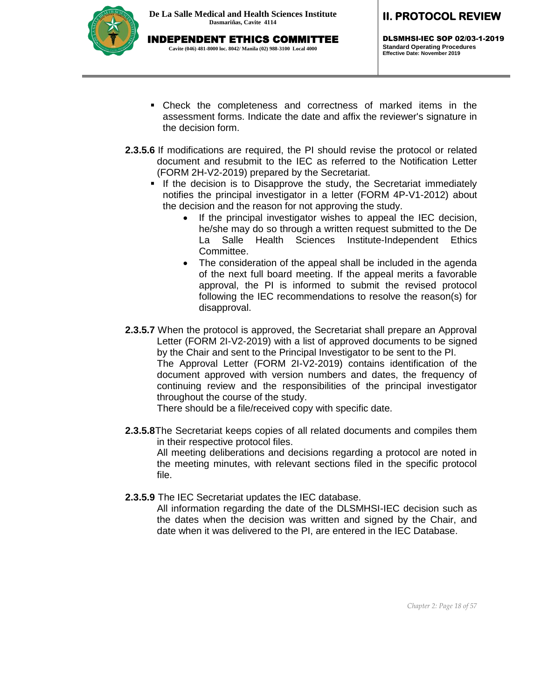

DLSMHSI-IEC SOP 02/03-1-2019 **Standard Operating Procedures Effective Date: November 2019**

- Check the completeness and correctness of marked items in the assessment forms. Indicate the date and affix the reviewer's signature in the decision form.
- **2.3.5.6** If modifications are required, the PI should revise the protocol or related document and resubmit to the IEC as referred to the Notification Letter (FORM 2H-V2-2019) prepared by the Secretariat.
	- If the decision is to Disapprove the study, the Secretariat immediately notifies the principal investigator in a letter (FORM 4P-V1-2012) about the decision and the reason for not approving the study.
		- If the principal investigator wishes to appeal the IEC decision, he/she may do so through a written request submitted to the De La Salle Health Sciences Institute-Independent Ethics Committee.
		- The consideration of the appeal shall be included in the agenda of the next full board meeting. If the appeal merits a favorable approval, the PI is informed to submit the revised protocol following the IEC recommendations to resolve the reason(s) for disapproval.
- **2.3.5.7** When the protocol is approved, the Secretariat shall prepare an Approval Letter (FORM 2I-V2-2019) with a list of approved documents to be signed by the Chair and sent to the Principal Investigator to be sent to the PI. The Approval Letter (FORM 2I-V2-2019) contains identification of the document approved with version numbers and dates, the frequency of continuing review and the responsibilities of the principal investigator throughout the course of the study.

There should be a file/received copy with specific date.

**2.3.5.8**The Secretariat keeps copies of all related documents and compiles them in their respective protocol files.

All meeting deliberations and decisions regarding a protocol are noted in the meeting minutes, with relevant sections filed in the specific protocol file.

**2.3.5.9** The IEC Secretariat updates the IEC database.

All information regarding the date of the DLSMHSI-IEC decision such as the dates when the decision was written and signed by the Chair, and date when it was delivered to the PI, are entered in the IEC Database.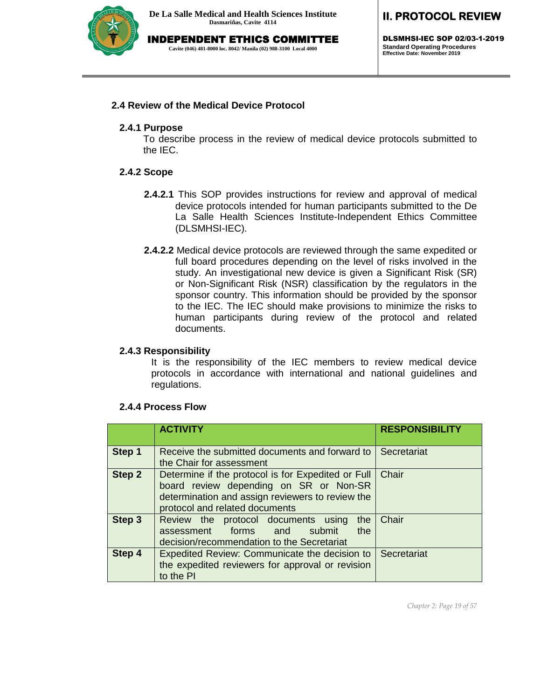

INDEPENDENT ETHICS COMMITTEE **Cavite (046) 481-8000 loc. 8042/ Manila (02) 988-3100 Local 4000**

# **II. PROTOCOL REVIEW**

DLSMHSI-IEC SOP 02/03-1-2019 **Standard Operating Procedures Effective Date: November 2019**

#### **2.4 Review of the Medical Device Protocol**

#### **2.4.1 Purpose**

To describe process in the review of medical device protocols submitted to the IEC.

#### **2.4.2 Scope**

- **2.4.2.1** This SOP provides instructions for review and approval of medical device protocols intended for human participants submitted to the De La Salle Health Sciences Institute-Independent Ethics Committee (DLSMHSI-IEC).
- **2.4.2.2** Medical device protocols are reviewed through the same expedited or full board procedures depending on the level of risks involved in the study. An investigational new device is given a Significant Risk (SR) or Non-Significant Risk (NSR) classification by the regulators in the sponsor country. This information should be provided by the sponsor to the IEC. The IEC should make provisions to minimize the risks to human participants during review of the protocol and related documents.

#### **2.4.3 Responsibility**

It is the responsibility of the IEC members to review medical device protocols in accordance with international and national guidelines and regulations.

|        | <b>ACTIVITY</b>                                                                                                                                                                    | <b>RESPONSIBILITY</b> |
|--------|------------------------------------------------------------------------------------------------------------------------------------------------------------------------------------|-----------------------|
| Step 1 | Receive the submitted documents and forward to<br>the Chair for assessment                                                                                                         | Secretariat           |
| Step 2 | Determine if the protocol is for Expedited or Full<br>board review depending on SR or Non-SR<br>determination and assign reviewers to review the<br>protocol and related documents | Chair                 |
| Step 3 | Review the protocol documents using<br>the<br>assessment forms and<br>the<br>submit<br>decision/recommendation to the Secretariat                                                  | Chair                 |
| Step 4 | <b>Expedited Review: Communicate the decision to</b><br>the expedited reviewers for approval or revision<br>to the PI                                                              | Secretariat           |

#### **2.4.4 Process Flow**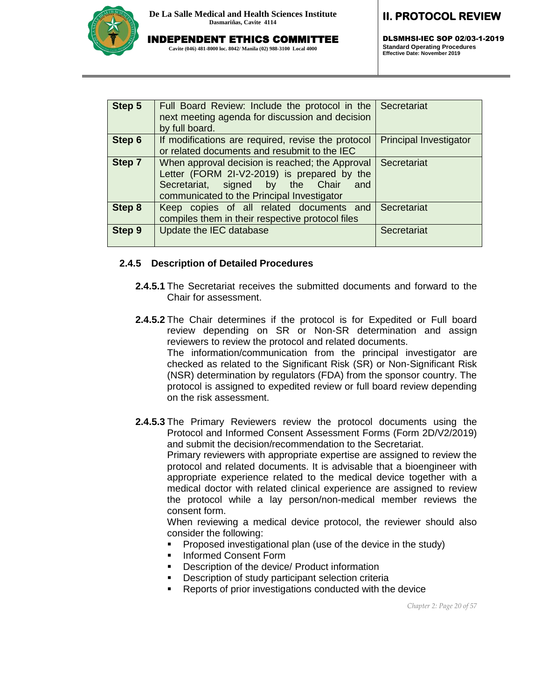

INDEPENDENT ETHICS COMMITTEE

**Cavite (046) 481-8000 loc. 8042/ Manila (02) 988-3100 Local 4000**

# **II. PROTOCOL REVIEW**

DLSMHSI-IEC SOP 02/03-1-2019 **Standard Operating Procedures Effective Date: November 2019**

| Step 5        | Full Board Review: Include the protocol in the<br>next meeting agenda for discussion and decision<br>by full board.                                                                     | Secretariat                   |
|---------------|-----------------------------------------------------------------------------------------------------------------------------------------------------------------------------------------|-------------------------------|
| Step 6        | If modifications are required, revise the protocol<br>or related documents and resubmit to the IEC                                                                                      | <b>Principal Investigator</b> |
| Step 7        | When approval decision is reached; the Approval<br>Letter (FORM 2I-V2-2019) is prepared by the<br>Secretariat, signed by the Chair<br>and<br>communicated to the Principal Investigator | Secretariat                   |
| <b>Step 8</b> | Keep copies of all related documents and<br>compiles them in their respective protocol files                                                                                            | Secretariat                   |
| <b>Step 9</b> | Update the IEC database                                                                                                                                                                 | Secretariat                   |

#### **2.4.5 Description of Detailed Procedures**

- **2.4.5.1** The Secretariat receives the submitted documents and forward to the Chair for assessment.
- **2.4.5.2** The Chair determines if the protocol is for Expedited or Full board review depending on SR or Non-SR determination and assign reviewers to review the protocol and related documents. The information/communication from the principal investigator are checked as related to the Significant Risk (SR) or Non-Significant Risk (NSR) determination by regulators (FDA) from the sponsor country. The protocol is assigned to expedited review or full board review depending on the risk assessment.

**2.4.5.3** The Primary Reviewers review the protocol documents using the Protocol and Informed Consent Assessment Forms (Form 2D/V2/2019) and submit the decision/recommendation to the Secretariat. Primary reviewers with appropriate expertise are assigned to review the protocol and related documents. It is advisable that a bioengineer with appropriate experience related to the medical device together with a medical doctor with related clinical experience are assigned to review the protocol while a lay person/non-medical member reviews the consent form.

When reviewing a medical device protocol, the reviewer should also consider the following:

- **Proposed investigational plan (use of the device in the study)**
- **Informed Consent Form**
- Description of the device/ Product information
- **Description of study participant selection criteria**
- **Reports of prior investigations conducted with the device**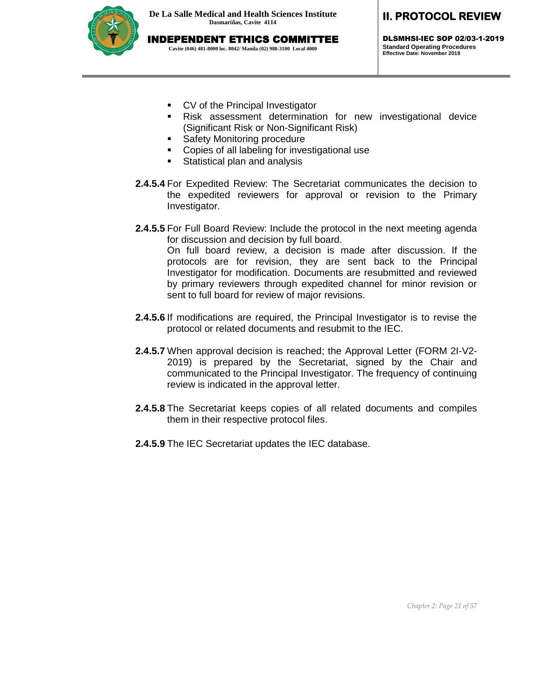INDEPENDENT ETHICS COMMITTEE **Cavite (046) 481-8000 loc. 8042/ Manila (02) 988-3100 Local 4000**



**II. PROTOCOL REVIEW** 

DLSMHSI-IEC SOP 02/03-1-2019 **Standard Operating Procedures Effective Date: November 2019**

- **CV** of the Principal Investigator
- Risk assessment determination for new investigational device (Significant Risk or Non-Significant Risk)
- **Safety Monitoring procedure**
- **•** Copies of all labeling for investigational use
- **Statistical plan and analysis**
- **2.4.5.4** For Expedited Review: The Secretariat communicates the decision to the expedited reviewers for approval or revision to the Primary Investigator.
- **2.4.5.5** For Full Board Review: Include the protocol in the next meeting agenda for discussion and decision by full board. On full board review, a decision is made after discussion. If the protocols are for revision, they are sent back to the Principal Investigator for modification. Documents are resubmitted and reviewed by primary reviewers through expedited channel for minor revision or sent to full board for review of major revisions.
- **2.4.5.6** If modifications are required, the Principal Investigator is to revise the protocol or related documents and resubmit to the IEC.
- **2.4.5.7** When approval decision is reached; the Approval Letter (FORM 2I-V2- 2019) is prepared by the Secretariat, signed by the Chair and communicated to the Principal Investigator. The frequency of continuing review is indicated in the approval letter.
- **2.4.5.8** The Secretariat keeps copies of all related documents and compiles them in their respective protocol files.
- **2.4.5.9** The IEC Secretariat updates the IEC database.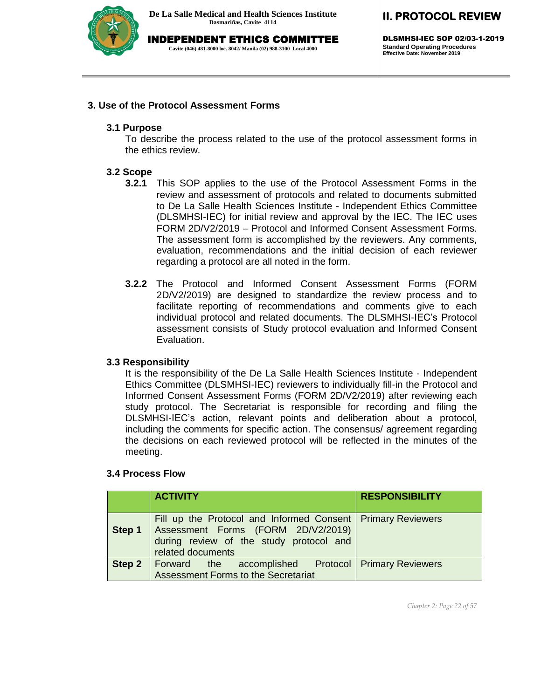

INDEPENDENT ETHICS COMMITTEE

**Cavite (046) 481-8000 loc. 8042/ Manila (02) 988-3100 Local 4000**

# **II. PROTOCOL REVIEW**

DLSMHSI-IEC SOP 02/03-1-2019 **Standard Operating Procedures Effective Date: November 2019**

#### **3. Use of the Protocol Assessment Forms**

#### **3.1 Purpose**

To describe the process related to the use of the protocol assessment forms in the ethics review.

#### **3.2 Scope**

- **3.2.1** This SOP applies to the use of the Protocol Assessment Forms in the review and assessment of protocols and related to documents submitted to De La Salle Health Sciences Institute - Independent Ethics Committee (DLSMHSI-IEC) for initial review and approval by the IEC. The IEC uses FORM 2D/V2/2019 – Protocol and Informed Consent Assessment Forms. The assessment form is accomplished by the reviewers. Any comments, evaluation, recommendations and the initial decision of each reviewer regarding a protocol are all noted in the form.
- **3.2.2** The Protocol and Informed Consent Assessment Forms (FORM 2D/V2/2019) are designed to standardize the review process and to facilitate reporting of recommendations and comments give to each individual protocol and related documents. The DLSMHSI-IEC's Protocol assessment consists of Study protocol evaluation and Informed Consent Evaluation.

#### **3.3 Responsibility**

It is the responsibility of the De La Salle Health Sciences Institute - Independent Ethics Committee (DLSMHSI-IEC) reviewers to individually fill-in the Protocol and Informed Consent Assessment Forms (FORM 2D/V2/2019) after reviewing each study protocol. The Secretariat is responsible for recording and filing the DLSMHSI-IEC's action, relevant points and deliberation about a protocol, including the comments for specific action. The consensus/ agreement regarding the decisions on each reviewed protocol will be reflected in the minutes of the meeting.

#### **3.4 Process Flow**

|        | <b>ACTIVITY</b>                                                                                                                                                     | <b>RESPONSIBILITY</b> |
|--------|---------------------------------------------------------------------------------------------------------------------------------------------------------------------|-----------------------|
| Step 1 | Fill up the Protocol and Informed Consent   Primary Reviewers<br>Assessment Forms (FORM 2D/V2/2019)<br>during review of the study protocol and<br>related documents |                       |
| Step 2 | Forward the accomplished Protocol   Primary Reviewers<br>Assessment Forms to the Secretariat                                                                        |                       |

*Chapter 2: Page 22 of 57*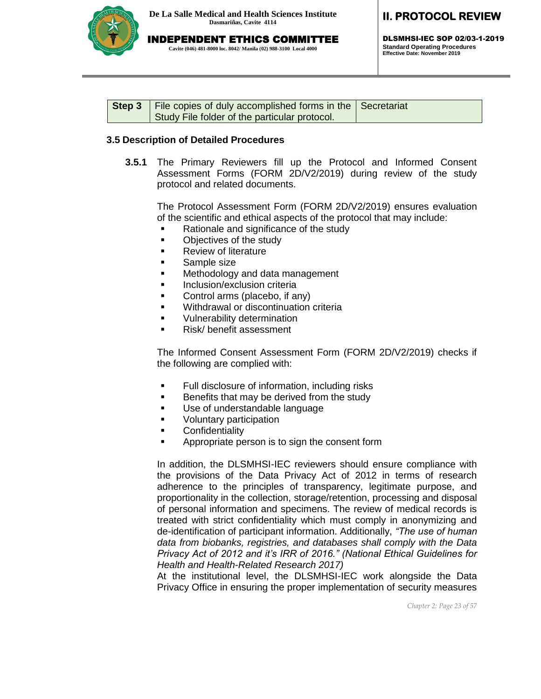

DLSMHSI-IEC SOP 02/03-1-2019 **Standard Operating Procedures Effective Date: November 2019**

| <b>Step 3</b>   File copies of duly accomplished forms in the $\vert$ Secretariat |  |
|-----------------------------------------------------------------------------------|--|
| Study File folder of the particular protocol.                                     |  |

#### **3.5 Description of Detailed Procedures**

**3.5.1** The Primary Reviewers fill up the Protocol and Informed Consent Assessment Forms (FORM 2D/V2/2019) during review of the study protocol and related documents.

The Protocol Assessment Form (FORM 2D/V2/2019) ensures evaluation of the scientific and ethical aspects of the protocol that may include:

- Rationale and significance of the study
- Objectives of the study
- **Review of literature**
- **Sample size**
- **Methodology and data management**
- **Inclusion/exclusion criteria**
- Control arms (placebo, if any)
- **Withdrawal or discontinuation criteria**
- **v** Vulnerability determination
- Risk/ benefit assessment

The Informed Consent Assessment Form (FORM 2D/V2/2019) checks if the following are complied with:

- **Full disclosure of information, including risks**
- Benefits that may be derived from the study
- **Use of understandable language**
- Voluntary participation
- **EXECONFERGIVE PROPERTY**
- **EXECT** Appropriate person is to sign the consent form

In addition, the DLSMHSI-IEC reviewers should ensure compliance with the provisions of the Data Privacy Act of 2012 in terms of research adherence to the principles of transparency, legitimate purpose, and proportionality in the collection, storage/retention, processing and disposal of personal information and specimens. The review of medical records is treated with strict confidentiality which must comply in anonymizing and de-identification of participant information. Additionally, *"The use of human data from biobanks, registries, and databases shall comply with the Data Privacy Act of 2012 and it's IRR of 2016." (National Ethical Guidelines for Health and Health-Related Research 2017)*

At the institutional level, the DLSMHSI-IEC work alongside the Data Privacy Office in ensuring the proper implementation of security measures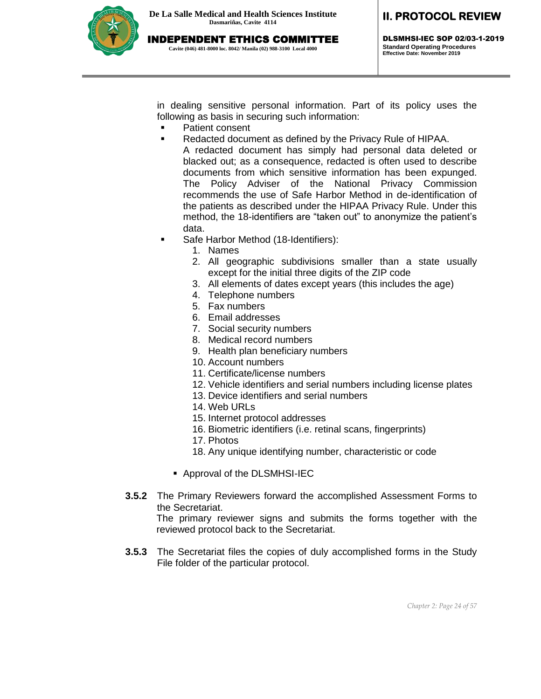

DLSMHSI-IEC SOP 02/03-1-2019 **Standard Operating Procedures Effective Date: November 2019**

in dealing sensitive personal information. Part of its policy uses the following as basis in securing such information:

- **•** Patient consent
- Redacted document as defined by the Privacy Rule of HIPAA.
	- A redacted document has simply had personal data deleted or blacked out; as a consequence, redacted is often used to describe documents from which sensitive information has been expunged. The Policy Adviser of the National Privacy Commission recommends the use of Safe Harbor Method in de-identification of the patients as described under the HIPAA Privacy Rule. Under this method, the 18-identifiers are "taken out" to anonymize the patient's data.
- **Safe Harbor Method (18-Identifiers):** 
	- 1. Names
	- 2. All geographic subdivisions smaller than a state usually except for the initial three digits of the ZIP code
	- 3. All elements of dates except years (this includes the age)
	- 4. Telephone numbers
	- 5. Fax numbers
	- 6. Email addresses
	- 7. Social security numbers
	- 8. Medical record numbers
	- 9. Health plan beneficiary numbers
	- 10. Account numbers
	- 11. Certificate/license numbers
	- 12. Vehicle identifiers and serial numbers including license plates
	- 13. Device identifiers and serial numbers
	- 14. Web URLs
	- 15. Internet protocol addresses
	- 16. Biometric identifiers (i.e. retinal scans, fingerprints)
	- 17. Photos
	- 18. Any unique identifying number, characteristic or code
	- Approval of the DLSMHSI-IEC
- **3.5.2** The Primary Reviewers forward the accomplished Assessment Forms to the Secretariat.

The primary reviewer signs and submits the forms together with the reviewed protocol back to the Secretariat.

**3.5.3** The Secretariat files the copies of duly accomplished forms in the Study File folder of the particular protocol.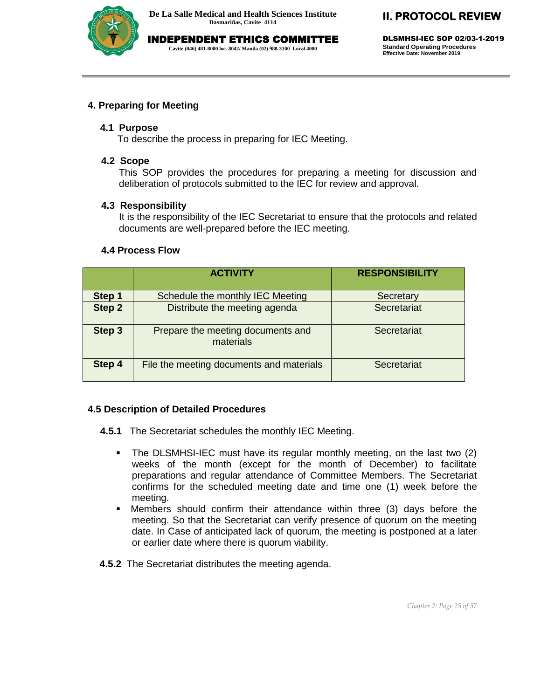

INDEPENDENT ETHICS COMMITTEE **Cavite (046) 481-8000 loc. 8042/ Manila (02) 988-3100 Local 4000**

# **II. PROTOCOL REVIEW**

DLSMHSI-IEC SOP 02/03-1-2019 **Standard Operating Procedures Effective Date: November 2019**

#### **4. Preparing for Meeting**

#### **4.1 Purpose**

To describe the process in preparing for IEC Meeting.

#### **4.2 Scope**

This SOP provides the procedures for preparing a meeting for discussion and deliberation of protocols submitted to the IEC for review and approval.

#### **4.3 Responsibility**

It is the responsibility of the IEC Secretariat to ensure that the protocols and related documents are well-prepared before the IEC meeting.

#### **4.4 Process Flow**

|        | <b>ACTIVITY</b>                                | <b>RESPONSIBILITY</b> |
|--------|------------------------------------------------|-----------------------|
| Step 1 | Schedule the monthly IEC Meeting               | Secretary             |
| Step 2 | Distribute the meeting agenda                  | Secretariat           |
| Step 3 | Prepare the meeting documents and<br>materials | Secretariat           |
| Step 4 | File the meeting documents and materials       | Secretariat           |

#### **4.5 Description of Detailed Procedures**

**4.5.1** The Secretariat schedules the monthly IEC Meeting.

- The DLSMHSI-IEC must have its regular monthly meeting, on the last two (2) weeks of the month (except for the month of December) to facilitate preparations and regular attendance of Committee Members. The Secretariat confirms for the scheduled meeting date and time one (1) week before the meeting.
- Members should confirm their attendance within three (3) days before the meeting. So that the Secretariat can verify presence of quorum on the meeting date. In Case of anticipated lack of quorum, the meeting is postponed at a later or earlier date where there is quorum viability.
- **4.5.2** The Secretariat distributes the meeting agenda.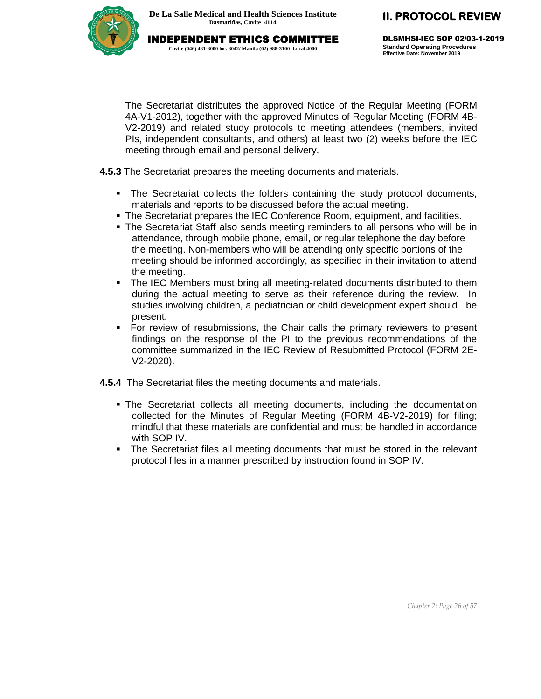

DLSMHSI-IEC SOP 02/03-1-2019 **Standard Operating Procedures Effective Date: November 2019**

The Secretariat distributes the approved Notice of the Regular Meeting (FORM 4A-V1-2012), together with the approved Minutes of Regular Meeting (FORM 4B-V2-2019) and related study protocols to meeting attendees (members, invited PIs, independent consultants, and others) at least two (2) weeks before the IEC meeting through email and personal delivery.

**4.5.3** The Secretariat prepares the meeting documents and materials.

- The Secretariat collects the folders containing the study protocol documents, materials and reports to be discussed before the actual meeting.
- The Secretariat prepares the IEC Conference Room, equipment, and facilities.
- The Secretariat Staff also sends meeting reminders to all persons who will be in attendance, through mobile phone, email, or regular telephone the day before the meeting. Non-members who will be attending only specific portions of the meeting should be informed accordingly, as specified in their invitation to attend the meeting.
- The IEC Members must bring all meeting-related documents distributed to them during the actual meeting to serve as their reference during the review. In studies involving children, a pediatrician or child development expert should be present.
- For review of resubmissions, the Chair calls the primary reviewers to present findings on the response of the PI to the previous recommendations of the committee summarized in the IEC Review of Resubmitted Protocol (FORM 2E-V2-2020).
- **4.5.4** The Secretariat files the meeting documents and materials.
	- The Secretariat collects all meeting documents, including the documentation collected for the Minutes of Regular Meeting (FORM 4B-V2-2019) for filing; mindful that these materials are confidential and must be handled in accordance with SOP IV.
	- The Secretariat files all meeting documents that must be stored in the relevant protocol files in a manner prescribed by instruction found in SOP IV.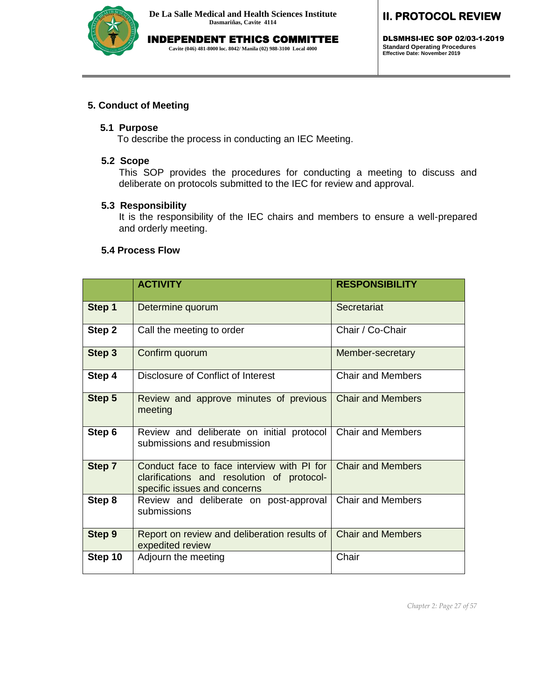

INDEPENDENT ETHICS COMMITTEE **Cavite (046) 481-8000 loc. 8042/ Manila (02) 988-3100 Local 4000**

## **II. PROTOCOL REVIEW**

DLSMHSI-IEC SOP 02/03-1-2019 **Standard Operating Procedures Effective Date: November 2019**

#### **5. Conduct of Meeting**

#### **5.1 Purpose**

To describe the process in conducting an IEC Meeting.

#### **5.2 Scope**

This SOP provides the procedures for conducting a meeting to discuss and deliberate on protocols submitted to the IEC for review and approval.

#### **5.3 Responsibility**

It is the responsibility of the IEC chairs and members to ensure a well-prepared and orderly meeting.

#### **5.4 Process Flow**

|         | <b>ACTIVITY</b>                                                                                                          | <b>RESPONSIBILITY</b>    |
|---------|--------------------------------------------------------------------------------------------------------------------------|--------------------------|
| Step 1  | Determine quorum                                                                                                         | Secretariat              |
| Step 2  | Call the meeting to order                                                                                                | Chair / Co-Chair         |
| Step 3  | Confirm quorum                                                                                                           | Member-secretary         |
| Step 4  | Disclosure of Conflict of Interest                                                                                       | <b>Chair and Members</b> |
| Step 5  | Review and approve minutes of previous<br>meeting                                                                        | <b>Chair and Members</b> |
| Step 6  | Review and deliberate on initial protocol<br>submissions and resubmission                                                | <b>Chair and Members</b> |
| Step 7  | Conduct face to face interview with PI for<br>clarifications and resolution of protocol-<br>specific issues and concerns | <b>Chair and Members</b> |
| Step 8  | Review and deliberate on post-approval<br>submissions                                                                    | Chair and Members        |
| Step 9  | Report on review and deliberation results of<br>expedited review                                                         | <b>Chair and Members</b> |
| Step 10 | Adjourn the meeting                                                                                                      | Chair                    |

*Chapter 2: Page 27 of 57*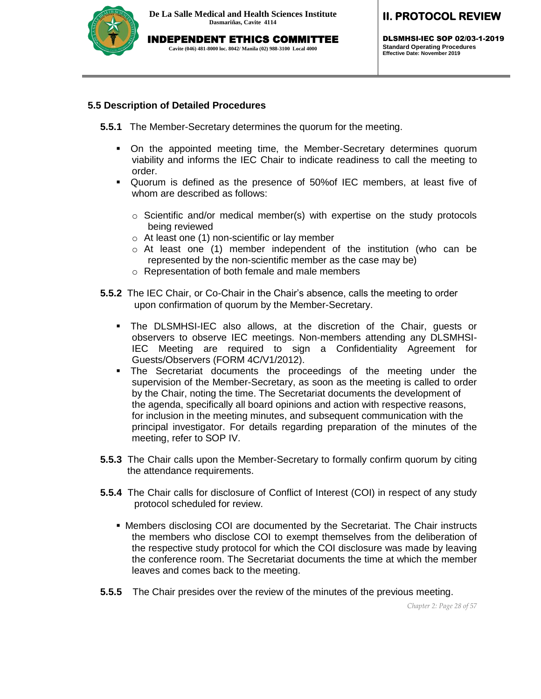

INDEPENDENT ETHICS COMMITTEE

**Cavite (046) 481-8000 loc. 8042/ Manila (02) 988-3100 Local 4000**

DLSMHSI-IEC SOP 02/03-1-2019 **Standard Operating Procedures Effective Date: November 2019**

#### **5.5 Description of Detailed Procedures**

- **5.5.1** The Member-Secretary determines the quorum for the meeting.
	- On the appointed meeting time, the Member-Secretary determines quorum viability and informs the IEC Chair to indicate readiness to call the meeting to order.
	- Quorum is defined as the presence of 50%of IEC members, at least five of whom are described as follows:
		- $\circ$  Scientific and/or medical member(s) with expertise on the study protocols being reviewed
		- o At least one (1) non-scientific or lay member
		- o At least one (1) member independent of the institution (who can be represented by the non-scientific member as the case may be)
		- o Representation of both female and male members
- **5.5.2** The IEC Chair, or Co-Chair in the Chair's absence, calls the meeting to order upon confirmation of quorum by the Member-Secretary.
	- The DLSMHSI-IEC also allows, at the discretion of the Chair, guests or observers to observe IEC meetings. Non-members attending any DLSMHSI-IEC Meeting are required to sign a Confidentiality Agreement for Guests/Observers (FORM 4C/V1/2012).
	- The Secretariat documents the proceedings of the meeting under the supervision of the Member-Secretary, as soon as the meeting is called to order by the Chair, noting the time. The Secretariat documents the development of the agenda, specifically all board opinions and action with respective reasons, for inclusion in the meeting minutes, and subsequent communication with the principal investigator. For details regarding preparation of the minutes of the meeting, refer to SOP IV.
- **5.5.3** The Chair calls upon the Member-Secretary to formally confirm quorum by citing the attendance requirements.
- **5.5.4** The Chair calls for disclosure of Conflict of Interest (COI) in respect of any study protocol scheduled for review.
	- Members disclosing COI are documented by the Secretariat. The Chair instructs the members who disclose COI to exempt themselves from the deliberation of the respective study protocol for which the COI disclosure was made by leaving the conference room. The Secretariat documents the time at which the member leaves and comes back to the meeting.
- **5.5.5** The Chair presides over the review of the minutes of the previous meeting.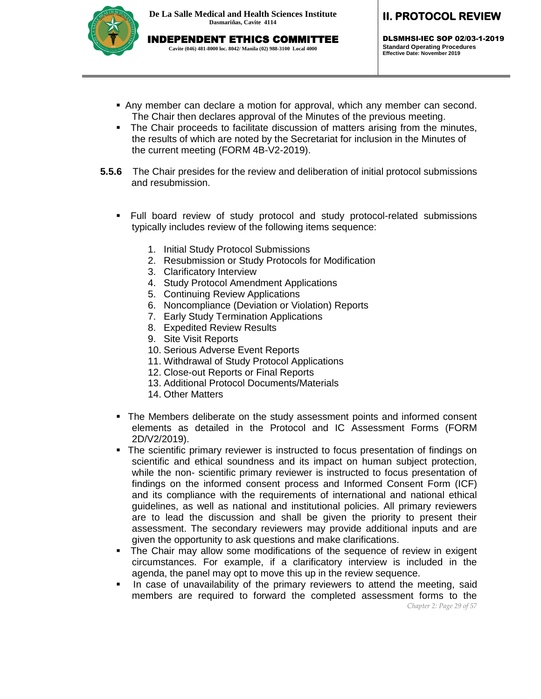

DLSMHSI-IEC SOP 02/03-1-2019 **Standard Operating Procedures Effective Date: November 2019**

- Any member can declare a motion for approval, which any member can second. The Chair then declares approval of the Minutes of the previous meeting.
- The Chair proceeds to facilitate discussion of matters arising from the minutes, the results of which are noted by the Secretariat for inclusion in the Minutes of the current meeting (FORM 4B-V2-2019).
- **5.5.6** The Chair presides for the review and deliberation of initial protocol submissions and resubmission.
	- Full board review of study protocol and study protocol-related submissions typically includes review of the following items sequence:
		- 1. Initial Study Protocol Submissions
		- 2. Resubmission or Study Protocols for Modification
		- 3. Clarificatory Interview
		- 4. Study Protocol Amendment Applications
		- 5. Continuing Review Applications
		- 6. Noncompliance (Deviation or Violation) Reports
		- 7. Early Study Termination Applications
		- 8. Expedited Review Results
		- 9. Site Visit Reports
		- 10. Serious Adverse Event Reports
		- 11. Withdrawal of Study Protocol Applications
		- 12. Close-out Reports or Final Reports
		- 13. Additional Protocol Documents/Materials
		- 14. Other Matters
	- The Members deliberate on the study assessment points and informed consent elements as detailed in the Protocol and IC Assessment Forms (FORM 2D/V2/2019).
	- The scientific primary reviewer is instructed to focus presentation of findings on scientific and ethical soundness and its impact on human subject protection, while the non- scientific primary reviewer is instructed to focus presentation of findings on the informed consent process and Informed Consent Form (ICF) and its compliance with the requirements of international and national ethical guidelines, as well as national and institutional policies. All primary reviewers are to lead the discussion and shall be given the priority to present their assessment. The secondary reviewers may provide additional inputs and are given the opportunity to ask questions and make clarifications.
	- The Chair may allow some modifications of the sequence of review in exigent circumstances. For example, if a clarificatory interview is included in the agenda, the panel may opt to move this up in the review sequence.
	- *Chapter 2: Page 29 of 57* In case of unavailability of the primary reviewers to attend the meeting, said members are required to forward the completed assessment forms to the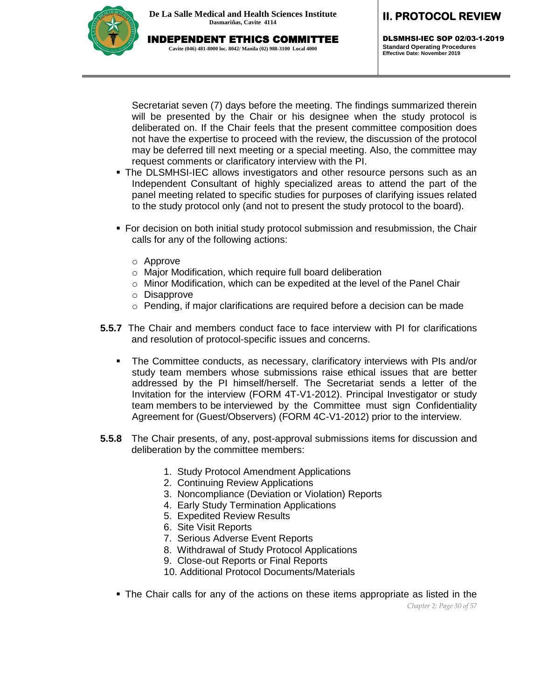

DLSMHSI-IEC SOP 02/03-1-2019 **Standard Operating Procedures Effective Date: November 2019**

Secretariat seven (7) days before the meeting. The findings summarized therein will be presented by the Chair or his designee when the study protocol is deliberated on. If the Chair feels that the present committee composition does not have the expertise to proceed with the review, the discussion of the protocol may be deferred till next meeting or a special meeting. Also, the committee may request comments or clarificatory interview with the PI.

- The DLSMHSI-IEC allows investigators and other resource persons such as an Independent Consultant of highly specialized areas to attend the part of the panel meeting related to specific studies for purposes of clarifying issues related to the study protocol only (and not to present the study protocol to the board).
- **For decision on both initial study protocol submission and resubmission, the Chair** calls for any of the following actions:
	- o Approve
	- o Major Modification, which require full board deliberation
	- o Minor Modification, which can be expedited at the level of the Panel Chair
	- o Disapprove
	- o Pending, if major clarifications are required before a decision can be made
- **5.5.7** The Chair and members conduct face to face interview with PI for clarifications and resolution of protocol-specific issues and concerns.
	- The Committee conducts, as necessary, clarificatory interviews with PIs and/or study team members whose submissions raise ethical issues that are better addressed by the PI himself/herself. The Secretariat sends a letter of the Invitation for the interview (FORM 4T-V1-2012). Principal Investigator or study team members to be interviewed by the Committee must sign Confidentiality Agreement for (Guest/Observers) (FORM 4C-V1-2012) prior to the interview.
- **5.5.8** The Chair presents, of any, post-approval submissions items for discussion and deliberation by the committee members:
	- 1. Study Protocol Amendment Applications
	- 2. Continuing Review Applications
	- 3. Noncompliance (Deviation or Violation) Reports
	- 4. Early Study Termination Applications
	- 5. Expedited Review Results
	- 6. Site Visit Reports
	- 7. Serious Adverse Event Reports
	- 8. Withdrawal of Study Protocol Applications
	- 9. Close-out Reports or Final Reports
	- 10. Additional Protocol Documents/Materials
	- The Chair calls for any of the actions on these items appropriate as listed in the

*Chapter 2: Page 30 of 57*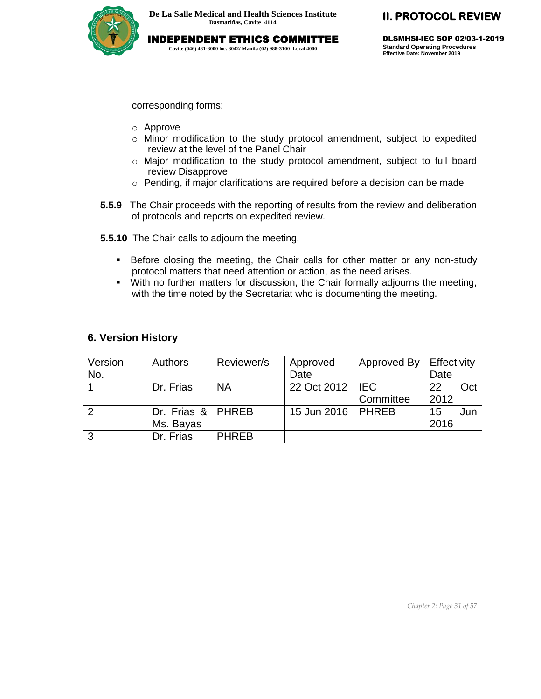**Cavite (046) 481-8000 loc. 8042/ Manila (02) 988-3100 Local 4000**

DLSMHSI-IEC SOP 02/03-1-2019 **Standard Operating Procedures Effective Date: November 2019**

corresponding forms:

- o Approve
- o Minor modification to the study protocol amendment, subject to expedited review at the level of the Panel Chair
- $\circ$  Major modification to the study protocol amendment, subject to full board review Disapprove
- o Pending, if major clarifications are required before a decision can be made
- **5.5.9** The Chair proceeds with the reporting of results from the review and deliberation of protocols and reports on expedited review.
- **5.5.10** The Chair calls to adjourn the meeting.
	- **Before closing the meeting, the Chair calls for other matter or any non-study** protocol matters that need attention or action, as the need arises.
	- With no further matters for discussion, the Chair formally adjourns the meeting, with the time noted by the Secretariat who is documenting the meeting.

#### **6. Version History**

| Version | <b>Authors</b>      | Reviewer/s   | Approved            | Approved By | Effectivity |     |
|---------|---------------------|--------------|---------------------|-------------|-------------|-----|
| No.     |                     |              | Date                |             | Date        |     |
|         | Dr. Frias           | <b>NA</b>    | 22 Oct 2012   IEC   |             | 22          | Oct |
|         |                     |              |                     | Committee   | 2012        |     |
|         | Dr. Frias &   PHREB |              | 15 Jun 2016   PHREB |             | 15          | Jun |
|         | Ms. Bayas           |              |                     |             | 2016        |     |
| 3       | Dr. Frias           | <b>PHREB</b> |                     |             |             |     |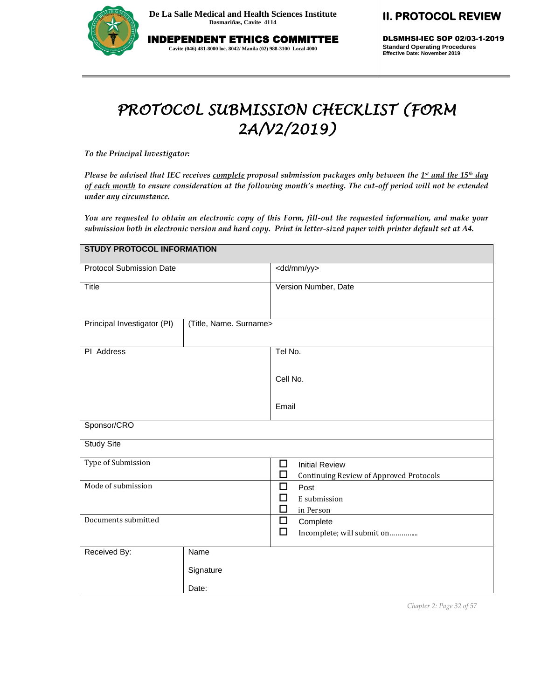

INDEPENDENT ETHICS COMMITTEE **Cavite (046) 481-8000 loc. 8042/ Manila (02) 988-3100 Local 4000**

# **II. PROTOCOL REVIEW**

DLSMHSI-IEC SOP 02/03-1-2019 **Standard Operating Procedures Effective Date: November 2019**

# *PROTOCOL SUBMISSION CHECKLIST (FORM 2A/V2/2019)*

*To the Principal Investigator:* 

*Please be advised that IEC receives complete proposal submission packages only between the 1 st and the 15th day of each month to ensure consideration at the following month's meeting. The cut-off period will not be extended under any circumstance.*

*You are requested to obtain an electronic copy of this Form, fill-out the requested information, and make your submission both in electronic version and hard copy. Print in letter-sized paper with printer default set at A4.*

| <b>STUDY PROTOCOL INFORMATION</b> |                        |                                                                                   |  |  |
|-----------------------------------|------------------------|-----------------------------------------------------------------------------------|--|--|
| <b>Protocol Submission Date</b>   |                        | <dd mm="" yy=""></dd>                                                             |  |  |
| Title                             |                        | Version Number, Date                                                              |  |  |
| Principal Investigator (PI)       | (Title, Name. Surname> |                                                                                   |  |  |
| PI Address                        |                        | Tel No.                                                                           |  |  |
|                                   |                        | Cell No.                                                                          |  |  |
|                                   |                        | Email                                                                             |  |  |
| Sponsor/CRO                       |                        |                                                                                   |  |  |
| <b>Study Site</b>                 |                        |                                                                                   |  |  |
| Type of Submission                |                        | □<br><b>Initial Review</b><br>□<br><b>Continuing Review of Approved Protocols</b> |  |  |
| Mode of submission                |                        | □<br>Post<br>□<br>E submission<br>□<br>in Person                                  |  |  |
| Documents submitted               |                        | $\Box$<br>Complete<br>$\Box$<br>Incomplete; will submit on                        |  |  |
| Received By:                      | Name                   |                                                                                   |  |  |
|                                   | Signature              |                                                                                   |  |  |
|                                   | Date:                  |                                                                                   |  |  |

*Chapter 2: Page 32 of 57*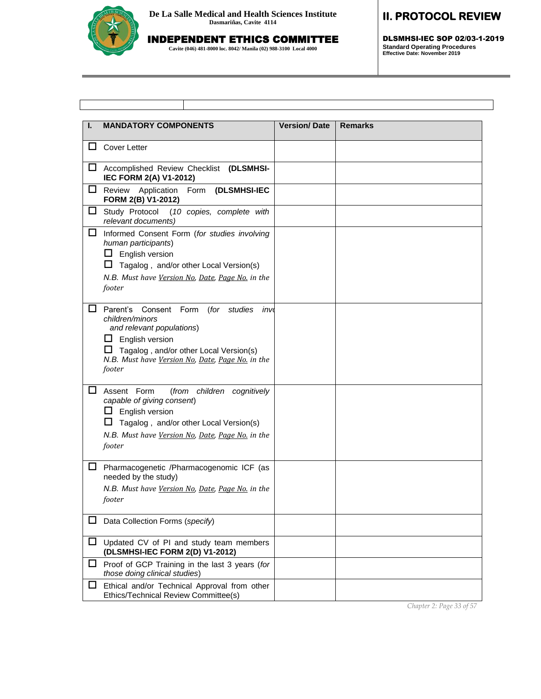

# INDEPENDENT ETHICS COMMITTEE

**Cavite (046) 481-8000 loc. 8042/ Manila (02) 988-3100 Local 4000**

### **II. PROTOCOL REVIEW**

DLSMHSI-IEC SOP 02/03-1-2019 **Standard Operating Procedures Effective Date: November 2019**

| ı. | <b>MANDATORY COMPONENTS</b>                                                                                                                                                                                               | <b>Version/Date</b> | <b>Remarks</b> |
|----|---------------------------------------------------------------------------------------------------------------------------------------------------------------------------------------------------------------------------|---------------------|----------------|
| ப  | <b>Cover Letter</b>                                                                                                                                                                                                       |                     |                |
| ப  | Accomplished Review Checklist (DLSMHSI-<br>IEC FORM 2(A) V1-2012)                                                                                                                                                         |                     |                |
| ப  | Form (DLSMHSI-IEC<br>Application<br>Review<br>FORM 2(B) V1-2012)                                                                                                                                                          |                     |                |
| ப  | Study Protocol<br>(10 copies, complete with<br>relevant documents)                                                                                                                                                        |                     |                |
| ப  | Informed Consent Form (for studies involving<br>human participants)<br>$\Box$ English version<br>Tagalog, and/or other Local Version(s)<br>ப<br>N.B. Must have Version No, Date, Page No. in the<br>footer                |                     |                |
| ப  | Parent's Consent Form (for studies<br>inv<br>children/minors<br>and relevant populations)<br>English version<br>ப<br>Tagalog, and/or other Local Version(s)<br>N.B. Must have Version No, Date, Page No. in the<br>footer |                     |                |
| ப  | Assent Form<br>(from children cognitively<br>capable of giving consent)<br>ப<br>English version<br>Tagalog, and/or other Local Version(s)<br>N.B. Must have Version No, Date, Page No. in the<br>footer                   |                     |                |
| □  | Pharmacogenetic /Pharmacogenomic ICF (as<br>needed by the study)<br>N.B. Must have Version No, Date, Page No. in the<br>footer                                                                                            |                     |                |
|    | Data Collection Forms (specify)                                                                                                                                                                                           |                     |                |
| Ц  | Updated CV of PI and study team members<br>(DLSMHSI-IEC FORM 2(D) V1-2012)                                                                                                                                                |                     |                |
| Ц  | Proof of GCP Training in the last 3 years (for<br>those doing clinical studies)                                                                                                                                           |                     |                |
| ப  | Ethical and/or Technical Approval from other<br>Ethics/Technical Review Committee(s)                                                                                                                                      |                     |                |

*Chapter 2: Page 33 of 57*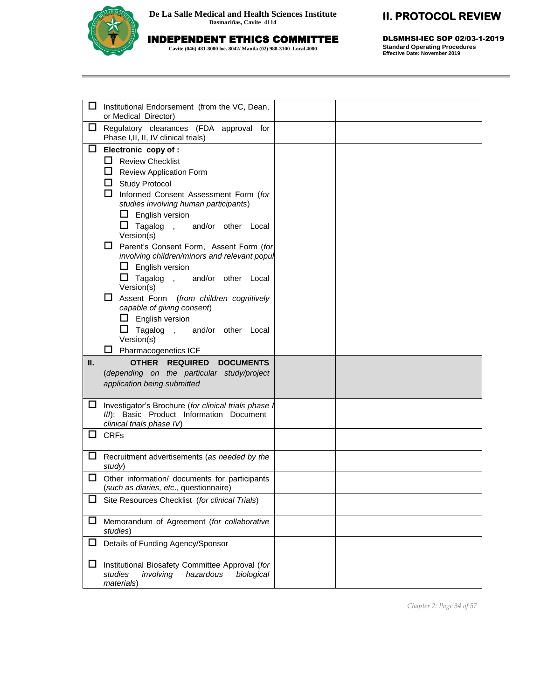

### INDEPENDENT ETHICS COMMITTEE

**Cavite (046) 481-8000 loc. 8042/ Manila (02) 988-3100 Local 4000**

# **II. PROTOCOL REVIEW**

DLSMHSI-IEC SOP 02/03-1-2019 **Standard Operating Procedures Effective Date: November 2019**

| ப<br>Institutional Endorsement (from the VC, Dean,<br>or Medical Director)                                                                                                                                                                                                                                                                                                                                                                                                                                                                                                                                |  |
|-----------------------------------------------------------------------------------------------------------------------------------------------------------------------------------------------------------------------------------------------------------------------------------------------------------------------------------------------------------------------------------------------------------------------------------------------------------------------------------------------------------------------------------------------------------------------------------------------------------|--|
| $\Box$<br>Regulatory clearances (FDA approval for<br>Phase I, II, II, IV clinical trials)                                                                                                                                                                                                                                                                                                                                                                                                                                                                                                                 |  |
| □<br>Electronic copy of :<br>$\Box$ Review Checklist<br>ப<br><b>Review Application Form</b><br><b>Study Protocol</b><br>ப<br>Informed Consent Assessment Form (for<br>studies involving human participants)<br>$\Box$ English version<br>Tagalog, and/or other Local<br>ப<br>Version(s)<br>ப<br>Parent's Consent Form, Assent Form (for<br>involving children/minors and relevant popul<br>$\Box$ English version<br>$\Box$ Tagalog, and/or other Local<br>Version(s)<br>Assent Form (from children cognitively<br>capable of giving consent)<br>ப<br>English version<br>ப<br>Tagalog, and/or other Local |  |
| Version(s)<br>Pharmacogenetics ICF                                                                                                                                                                                                                                                                                                                                                                                                                                                                                                                                                                        |  |
| <b>OTHER</b><br>Ш.<br><b>REQUIRED</b><br><b>DOCUMENTS</b><br>(depending on the particular study/project<br>application being submitted                                                                                                                                                                                                                                                                                                                                                                                                                                                                    |  |
| ப<br>Investigator's Brochure (for clinical trials phase<br>III); Basic Product Information Document<br>clinical trials phase IV)                                                                                                                                                                                                                                                                                                                                                                                                                                                                          |  |
| <b>CRFs</b><br>ப                                                                                                                                                                                                                                                                                                                                                                                                                                                                                                                                                                                          |  |
| ப<br>Recruitment advertisements (as needed by the<br>study)                                                                                                                                                                                                                                                                                                                                                                                                                                                                                                                                               |  |
| ப<br>Other information/ documents for participants<br>(such as diaries, etc., questionnaire)                                                                                                                                                                                                                                                                                                                                                                                                                                                                                                              |  |
| Site Resources Checklist (for clinical Trials)                                                                                                                                                                                                                                                                                                                                                                                                                                                                                                                                                            |  |
| Memorandum of Agreement (for collaborative<br>ப<br>studies)                                                                                                                                                                                                                                                                                                                                                                                                                                                                                                                                               |  |
| Details of Funding Agency/Sponsor                                                                                                                                                                                                                                                                                                                                                                                                                                                                                                                                                                         |  |
| Institutional Biosafety Committee Approval (for<br>ப<br>studies<br>hazardous<br>involving<br>biological<br>materials)                                                                                                                                                                                                                                                                                                                                                                                                                                                                                     |  |

*Chapter 2: Page 34 of 57*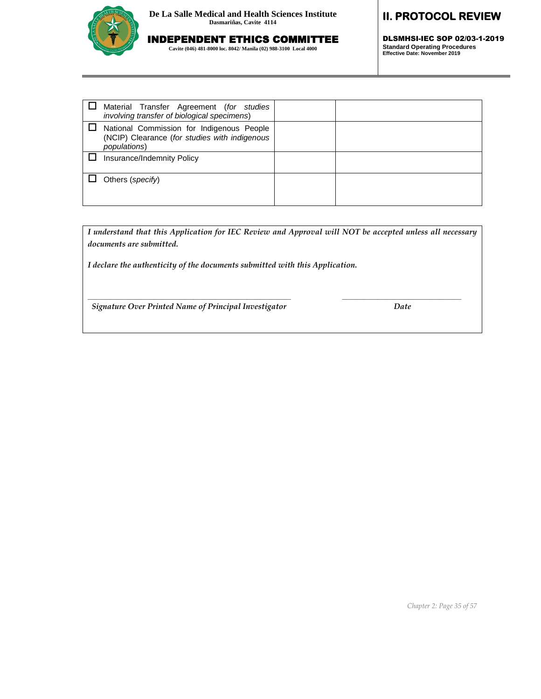

# INDEPENDENT ETHICS COMMITTEE

**Cavite (046) 481-8000 loc. 8042/ Manila (02) 988-3100 Local 4000**

# **II. PROTOCOL REVIEW**

DLSMHSI-IEC SOP 02/03-1-2019 **Standard Operating Procedures Effective Date: November 2019**

| Material Transfer Agreement (for studies<br>involving transfer of biological specimens)                    |  |
|------------------------------------------------------------------------------------------------------------|--|
| National Commission for Indigenous People<br>(NCIP) Clearance (for studies with indigenous<br>populations) |  |
| Insurance/Indemnity Policy                                                                                 |  |
| Others (specify)                                                                                           |  |

*I understand that this Application for IEC Review and Approval will NOT be accepted unless all necessary documents are submitted.*

**\_\_\_\_\_\_\_\_\_\_\_\_\_\_\_\_\_\_\_\_\_\_\_\_\_\_\_\_\_\_\_\_\_\_\_\_\_\_\_\_\_\_\_\_\_\_ \_\_\_\_\_\_\_\_\_\_\_\_\_\_\_\_\_\_\_\_\_\_\_\_\_\_\_**

*I declare the authenticity of the documents submitted with this Application.*

 *Signature Over Printed Name of Principal Investigator Date*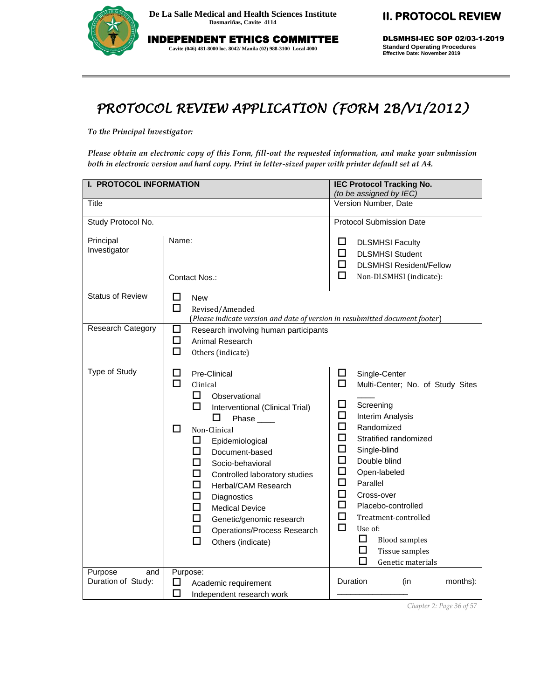

INDEPENDENT ETHICS COMMITTEE **Cavite (046) 481-8000 loc. 8042/ Manila (02) 988-3100 Local 4000**

**II. PROTOCOL REVIEW** 

DLSMHSI-IEC SOP 02/03-1-2019 **Standard Operating Procedures Effective Date: November 2019**

# *PROTOCOL REVIEW APPLICATION (FORM 2B/V1/2012)*

*To the Principal Investigator:* 

*Please obtain an electronic copy of this Form, fill-out the requested information, and make your submission both in electronic version and hard copy. Print in letter-sized paper with printer default set at A4.*

| <b>I. PROTOCOL INFORMATION</b>       |                                                                                                                                                                                                                                                                                                                                                                                                                                                                      | <b>IEC Protocol Tracking No.</b><br>(to be assigned by IEC)                                                                                                                                                                                                                                                                                                                                                                                 |  |  |
|--------------------------------------|----------------------------------------------------------------------------------------------------------------------------------------------------------------------------------------------------------------------------------------------------------------------------------------------------------------------------------------------------------------------------------------------------------------------------------------------------------------------|---------------------------------------------------------------------------------------------------------------------------------------------------------------------------------------------------------------------------------------------------------------------------------------------------------------------------------------------------------------------------------------------------------------------------------------------|--|--|
| Title                                |                                                                                                                                                                                                                                                                                                                                                                                                                                                                      | Version Number, Date                                                                                                                                                                                                                                                                                                                                                                                                                        |  |  |
| Study Protocol No.                   |                                                                                                                                                                                                                                                                                                                                                                                                                                                                      | <b>Protocol Submission Date</b>                                                                                                                                                                                                                                                                                                                                                                                                             |  |  |
| Principal<br>Investigator            | Name:<br>Contact Nos.:                                                                                                                                                                                                                                                                                                                                                                                                                                               | ப<br><b>DLSMHSI Faculty</b><br>П<br><b>DLSMHSI Student</b><br>П<br><b>DLSMHSI Resident/Fellow</b><br>П<br>Non-DLSMHSI (indicate):                                                                                                                                                                                                                                                                                                           |  |  |
| <b>Status of Review</b>              | □<br><b>New</b><br>□<br>Revised/Amended<br>(Please indicate version and date of version in resubmitted document footer)                                                                                                                                                                                                                                                                                                                                              |                                                                                                                                                                                                                                                                                                                                                                                                                                             |  |  |
| Research Category                    | □<br>Research involving human participants<br>$\Box$<br>Animal Research<br>□<br>Others (indicate)                                                                                                                                                                                                                                                                                                                                                                    |                                                                                                                                                                                                                                                                                                                                                                                                                                             |  |  |
| Type of Study                        | $\Box$<br>Pre-Clinical<br>$\Box$<br>Clinical<br>⊔<br>Observational<br>□<br>Interventional (Clinical Trial)<br>$\mathsf{L}$<br>Phase ____<br>□<br>Non-Clinical<br>⊔<br>Epidemiological<br>П<br>Document-based<br>П<br>Socio-behavioral<br>п<br>Controlled laboratory studies<br>$\Box$<br>Herbal/CAM Research<br>◻<br>Diagnostics<br>□<br><b>Medical Device</b><br>□<br>Genetic/genomic research<br>□<br><b>Operations/Process Research</b><br>п<br>Others (indicate) | ⊔<br>Single-Center<br>$\Box$<br>Multi-Center; No. of Study Sites<br>□<br>Screening<br>□<br><b>Interim Analysis</b><br>□<br>Randomized<br>□<br>Stratified randomized<br>$\Box$<br>Single-blind<br>П<br>Double blind<br>□<br>Open-labeled<br>П<br>Parallel<br>□<br>Cross-over<br>□<br>Placebo-controlled<br>$\Box$<br>Treatment-controlled<br>$\Box$<br>Use of:<br>ப<br><b>Blood samples</b><br>⊔<br>Tissue samples<br>П<br>Genetic materials |  |  |
| Purpose<br>and<br>Duration of Study: | Purpose:<br>⊔<br>Academic requirement<br>П<br>Independent research work                                                                                                                                                                                                                                                                                                                                                                                              | Duration<br>months):<br>(in                                                                                                                                                                                                                                                                                                                                                                                                                 |  |  |

*Chapter 2: Page 36 of 57*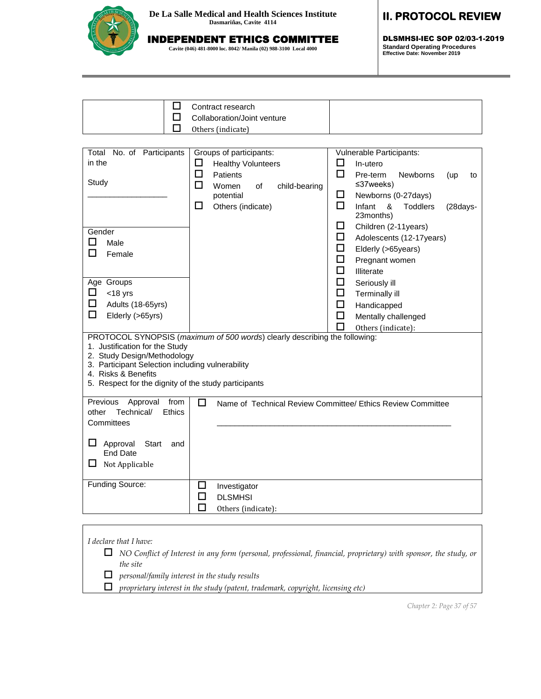

# INDEPENDENT ETHICS COMMITTEE

**Cavite (046) 481-8000 loc. 8042/ Manila (02) 988-3100 Local 4000**

### **II. PROTOCOL REVIEW**

DLSMHSI-IEC SOP 02/03-1-2019 **Standard Operating Procedures Effective Date: November 2019**

| Contract research           |  |
|-----------------------------|--|
| Collaboration/Joint venture |  |
| Others (indicate)           |  |
|                             |  |

| Total No. of Participants                                          | Groups of participants:                                                                                                                                                                                               | Vulnerable Participants:                                    |  |  |
|--------------------------------------------------------------------|-----------------------------------------------------------------------------------------------------------------------------------------------------------------------------------------------------------------------|-------------------------------------------------------------|--|--|
| in the                                                             | п<br><b>Healthy Volunteers</b>                                                                                                                                                                                        | П<br>In-utero                                               |  |  |
|                                                                    | □<br>Patients                                                                                                                                                                                                         | П<br>Pre-term<br><b>Newborns</b><br>(up<br>to               |  |  |
| Study                                                              | П<br>Women<br>child-bearing<br>of                                                                                                                                                                                     | $\leq$ 37weeks)                                             |  |  |
|                                                                    | potential                                                                                                                                                                                                             | □<br>Newborns (0-27days)                                    |  |  |
|                                                                    | □<br>Others (indicate)                                                                                                                                                                                                | □<br>Infant<br>&<br><b>Toddlers</b><br>(28days-             |  |  |
|                                                                    |                                                                                                                                                                                                                       | 23months)                                                   |  |  |
| Gender                                                             |                                                                                                                                                                                                                       | □<br>Children (2-11years)                                   |  |  |
| □<br>Male                                                          |                                                                                                                                                                                                                       | □<br>Adolescents (12-17years)                               |  |  |
| П<br>Female                                                        |                                                                                                                                                                                                                       | □<br>Elderly (>65years)                                     |  |  |
|                                                                    |                                                                                                                                                                                                                       | □<br>Pregnant women                                         |  |  |
|                                                                    |                                                                                                                                                                                                                       | □<br>Illiterate                                             |  |  |
| Age Groups                                                         |                                                                                                                                                                                                                       | □<br>Seriously ill                                          |  |  |
| □<br>$<$ 18 yrs                                                    |                                                                                                                                                                                                                       | □<br>Terminally ill                                         |  |  |
| □<br>Adults (18-65yrs)                                             |                                                                                                                                                                                                                       | □<br>Handicapped                                            |  |  |
| □<br>Elderly (>65yrs)                                              |                                                                                                                                                                                                                       | □<br>Mentally challenged                                    |  |  |
|                                                                    |                                                                                                                                                                                                                       | Others (indicate):                                          |  |  |
| 1. Justification for the Study<br>4. Risks & Benefits              | PROTOCOL SYNOPSIS (maximum of 500 words) clearly describing the following:<br>2. Study Design/Methodology<br>3. Participant Selection including vulnerability<br>5. Respect for the dignity of the study participants |                                                             |  |  |
| Previous<br>Approval<br>from                                       | □                                                                                                                                                                                                                     | Name of Technical Review Committee/ Ethics Review Committee |  |  |
| Technical/<br>Ethics<br>other                                      |                                                                                                                                                                                                                       |                                                             |  |  |
| Committees                                                         |                                                                                                                                                                                                                       |                                                             |  |  |
| ப<br>Approval<br>Start<br>and<br><b>End Date</b><br>Not Applicable |                                                                                                                                                                                                                       |                                                             |  |  |
| Funding Source:                                                    | ப<br>Investigator                                                                                                                                                                                                     |                                                             |  |  |
|                                                                    | □<br><b>DLSMHSI</b>                                                                                                                                                                                                   |                                                             |  |  |
|                                                                    | П<br>Others (indicate):                                                                                                                                                                                               |                                                             |  |  |
|                                                                    |                                                                                                                                                                                                                       |                                                             |  |  |
|                                                                    |                                                                                                                                                                                                                       |                                                             |  |  |

*I declare that I have:* 

 *NO Conflict of Interest in any form (personal, professional, financial, proprietary) with sponsor, the study, or the site*

*personal/family interest in the study results*

*proprietary interest in the study (patent, trademark, copyright, licensing etc)*

*Chapter 2: Page 37 of 57*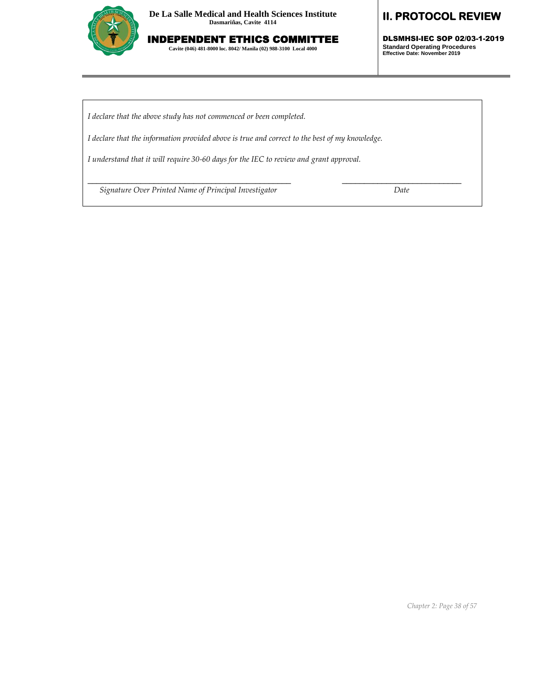

INDEPENDENT ETHICS COMMITTEE **Cavite (046) 481-8000 loc. 8042/ Manila (02) 988-3100 Local 4000**

### **II. PROTOCOL REVIEW**

DLSMHSI-IEC SOP 02/03-1-2019 **Standard Operating Procedures Effective Date: November 2019**

*I declare that the above study has not commenced or been completed.*

*I declare that the information provided above is true and correct to the best of my knowledge.*

\_\_\_\_\_\_\_\_\_\_\_\_\_\_\_\_\_\_\_\_\_\_\_\_\_\_\_\_\_\_\_\_\_\_\_\_\_\_\_\_\_\_\_\_\_\_ \_\_\_\_\_\_\_\_\_\_\_\_\_\_\_\_\_\_\_\_\_\_\_\_\_\_\_

*I understand that it will require 30-60 days for the IEC to review and grant approval.*

 *Signature Over Printed Name of Principal Investigator Date*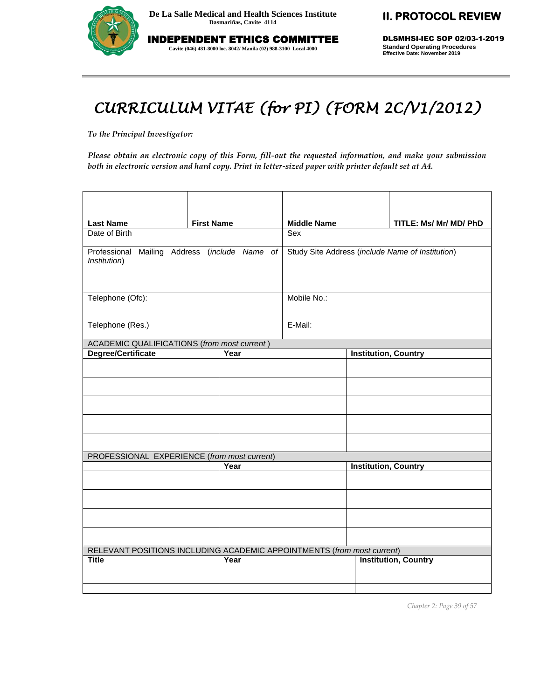

INDEPENDENT ETHICS COMMITTEE **Cavite (046) 481-8000 loc. 8042/ Manila (02) 988-3100 Local 4000**

## **II. PROTOCOL REVIEW**

DLSMHSI-IEC SOP 02/03-1-2019 **Standard Operating Procedures Effective Date: November 2019**

# *CURRICULUM VITAE (for PI) (FORM 2C/V1/2012)*

*To the Principal Investigator:* 

*Please obtain an electronic copy of this Form, fill-out the requested information, and make your submission both in electronic version and hard copy. Print in letter-sized paper with printer default set at A4.*

| <b>Last Name</b>                                                       | <b>First Name</b> |                                                  | <b>Middle Name</b> |                             | TITLE: Ms/ Mr/ MD/ PhD      |
|------------------------------------------------------------------------|-------------------|--------------------------------------------------|--------------------|-----------------------------|-----------------------------|
| Date of Birth                                                          |                   |                                                  | Sex                |                             |                             |
| Professional Mailing Address (include Name of<br>Institution)          |                   | Study Site Address (include Name of Institution) |                    |                             |                             |
| Telephone (Ofc):                                                       |                   |                                                  | Mobile No.:        |                             |                             |
| Telephone (Res.)                                                       |                   |                                                  | E-Mail:            |                             |                             |
| <b>ACADEMIC QUALIFICATIONS (from most current)</b>                     |                   |                                                  |                    |                             |                             |
| <b>Degree/Certificate</b>                                              |                   | Year                                             |                    | <b>Institution, Country</b> |                             |
|                                                                        |                   |                                                  |                    |                             |                             |
|                                                                        |                   |                                                  |                    |                             |                             |
|                                                                        |                   |                                                  |                    |                             |                             |
|                                                                        |                   |                                                  |                    |                             |                             |
|                                                                        |                   |                                                  |                    |                             |                             |
| PROFESSIONAL EXPERIENCE (from most current)                            |                   |                                                  |                    |                             |                             |
|                                                                        |                   | Year                                             |                    | <b>Institution, Country</b> |                             |
|                                                                        |                   |                                                  |                    |                             |                             |
|                                                                        |                   |                                                  |                    |                             |                             |
|                                                                        |                   |                                                  |                    |                             |                             |
|                                                                        |                   |                                                  |                    |                             |                             |
| RELEVANT POSITIONS INCLUDING ACADEMIC APPOINTMENTS (from most current) |                   |                                                  |                    |                             |                             |
| <b>Title</b>                                                           |                   | Year                                             |                    |                             | <b>Institution, Country</b> |
|                                                                        |                   |                                                  |                    |                             |                             |
|                                                                        |                   |                                                  |                    |                             |                             |

*Chapter 2: Page 39 of 57*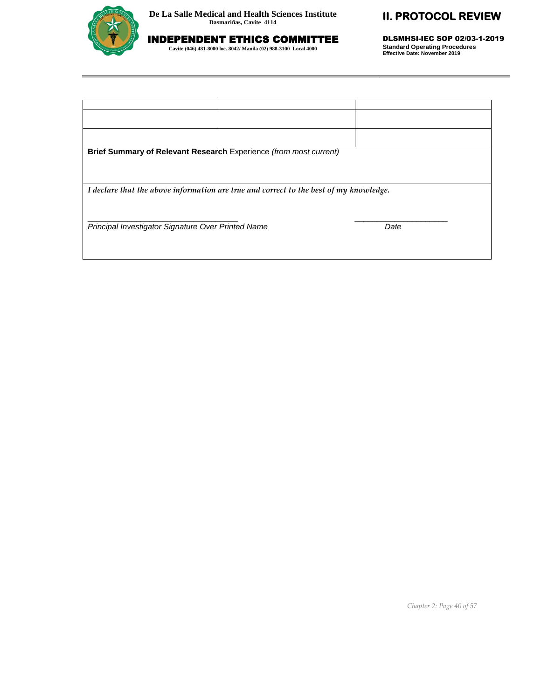

INDEPENDENT ETHICS COMMITTEE **Cavite (046) 481-8000 loc. 8042/ Manila (02) 988-3100 Local 4000**

# **II. PROTOCOL REVIEW**

DLSMHSI-IEC SOP 02/03-1-2019 **Standard Operating Procedures Effective Date: November 2019**

| Brief Summary of Relevant Research Experience (from most current)                      |  |      |  |  |
|----------------------------------------------------------------------------------------|--|------|--|--|
|                                                                                        |  |      |  |  |
| I declare that the above information are true and correct to the best of my knowledge. |  |      |  |  |
|                                                                                        |  |      |  |  |
| Principal Investigator Signature Over Printed Name                                     |  | Date |  |  |
|                                                                                        |  |      |  |  |
|                                                                                        |  |      |  |  |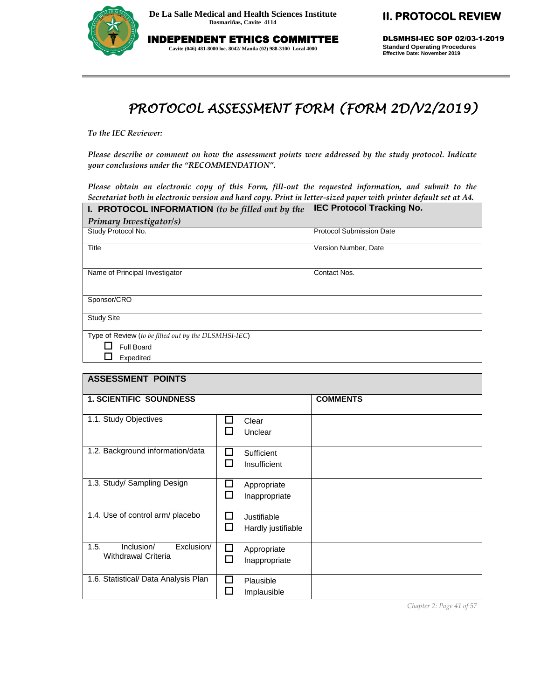

INDEPENDENT ETHICS COMMITTEE

**Cavite (046) 481-8000 loc. 8042/ Manila (02) 988-3100 Local 4000**

**II. PROTOCOL REVIEW** 

DLSMHSI-IEC SOP 02/03-1-2019 **Standard Operating Procedures Effective Date: November 2019**

# *PROTOCOL ASSESSMENT FORM (FORM 2D/V2/2019)*

*To the IEC Reviewer:* 

*Please describe or comment on how the assessment points were addressed by the study protocol. Indicate your conclusions under the "RECOMMENDATION".*

*Please obtain an electronic copy of this Form, fill-out the requested information, and submit to the Secretariat both in electronic version and hard copy. Print in letter-sized paper with printer default set at A4.*

| I. PROTOCOL INFORMATION (to be filled out by the     | <b>IEC Protocol Tracking No.</b> |
|------------------------------------------------------|----------------------------------|
| Primary Investigator/s)                              |                                  |
| Study Protocol No.                                   | <b>Protocol Submission Date</b>  |
| Title                                                | Version Number, Date             |
| Name of Principal Investigator                       | Contact Nos.                     |
| Sponsor/CRO                                          |                                  |
| <b>Study Site</b>                                    |                                  |
| Type of Review (to be filled out by the DLSMHSI-IEC) |                                  |
| Full Board                                           |                                  |
| Expedited                                            |                                  |

| <b>ASSESSMENT POINTS</b>                                       |                                             |                 |
|----------------------------------------------------------------|---------------------------------------------|-----------------|
| <b>1. SCIENTIFIC SOUNDNESS</b>                                 |                                             | <b>COMMENTS</b> |
| 1.1. Study Objectives                                          | H<br>Clear<br>ш<br>Unclear                  |                 |
| 1.2. Background information/data                               | П<br>Sufficient<br>l I<br>Insufficient      |                 |
| 1.3. Study/ Sampling Design                                    | □<br>Appropriate<br>ΙI<br>Inappropriate     |                 |
| 1.4. Use of control arm/ placebo                               | П<br>Justifiable<br>П<br>Hardly justifiable |                 |
| 1.5.<br>Inclusion/<br>Exclusion/<br><b>Withdrawal Criteria</b> | П<br>Appropriate<br>ப<br>Inappropriate      |                 |
| 1.6. Statistical/ Data Analysis Plan                           | l I<br>Plausible<br>Implausible             |                 |

*Chapter 2: Page 41 of 57*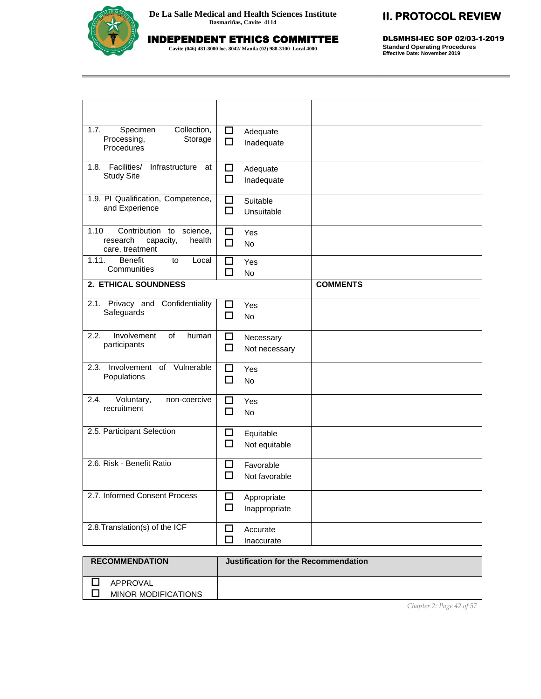

INDEPENDENT ETHICS COMMITTEE

**Cavite (046) 481-8000 loc. 8042/ Manila (02) 988-3100 Local 4000**

# **II. PROTOCOL REVIEW**

DLSMHSI-IEC SOP 02/03-1-2019 **Standard Operating Procedures Effective Date: November 2019**

| Collection,<br>1.7.<br>Specimen<br>Processing,<br>Storage<br>Procedures                      | □<br>Adequate<br>$\Box$<br>Inadequate     |                 |
|----------------------------------------------------------------------------------------------|-------------------------------------------|-----------------|
| 1.8. Facilities/<br>Infrastructure<br>at<br><b>Study Site</b>                                | □<br>Adequate<br>□<br>Inadequate          |                 |
| 1.9. PI Qualification, Competence,<br>and Experience                                         | $\Box$<br>Suitable<br>п<br>Unsuitable     |                 |
| 1.10<br>Contribution<br>to<br>science.<br>capacity,<br>health<br>research<br>care, treatment | П<br>Yes<br>□<br><b>No</b>                |                 |
| 1.11.<br><b>Benefit</b><br>Local<br>to<br>Communities                                        | П<br>Yes<br>П<br><b>No</b>                |                 |
| <b>2. ETHICAL SOUNDNESS</b>                                                                  |                                           | <b>COMMENTS</b> |
| Privacy and Confidentiality<br>2.1.<br>Safeguards                                            | ப<br>Yes<br>п<br><b>No</b>                |                 |
| 2.2.<br>Involvement<br>of<br>human<br>participants                                           | □<br>Necessary<br>□<br>Not necessary      |                 |
| Involvement of Vulnerable<br>2.3.<br>Populations                                             | П<br>Yes<br>П<br>No                       |                 |
| Voluntary,<br>2.4.<br>non-coercive<br>recruitment                                            | □<br>Yes<br>$\Box$<br>No                  |                 |
| 2.5. Participant Selection                                                                   | □<br>Equitable<br>□<br>Not equitable      |                 |
| 2.6. Risk - Benefit Ratio                                                                    | ◻<br>Favorable<br>$\Box$<br>Not favorable |                 |
| 2.7. Informed Consent Process                                                                | □<br>Appropriate<br>□<br>Inappropriate    |                 |
| 2.8. Translation(s) of the ICF                                                               | □<br>Accurate<br>П<br>Inaccurate          |                 |

| <b>RECOMMENDATION</b>                  | Justification for the Recommendation |
|----------------------------------------|--------------------------------------|
| APPROVAL<br><b>MINOR MODIFICATIONS</b> |                                      |

*Chapter 2: Page 42 of 57*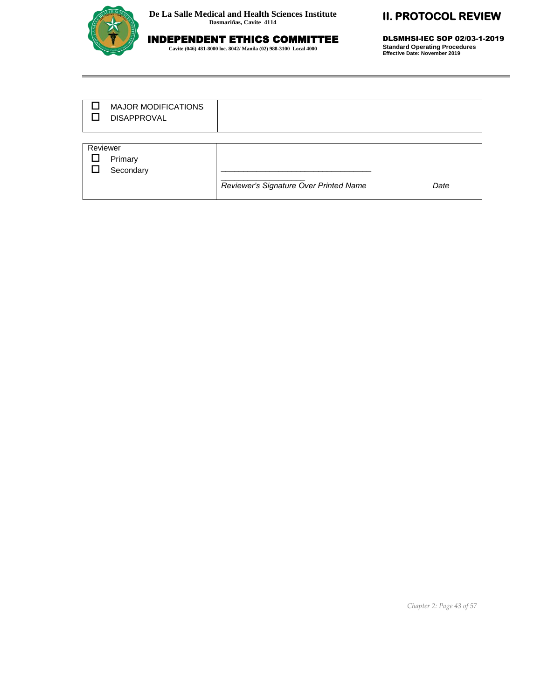

# INDEPENDENT ETHICS COMMITTEE

**Cavite (046) 481-8000 loc. 8042/ Manila (02) 988-3100 Local 4000**

## **II. PROTOCOL REVIEW**

DLSMHSI-IEC SOP 02/03-1-2019 **Standard Operating Procedures Effective Date: November 2019**

|          | <b>MAJOR MODIFICATIONS</b><br><b>DISAPPROVAL</b> |                                        |      |
|----------|--------------------------------------------------|----------------------------------------|------|
|          |                                                  |                                        |      |
| Reviewer |                                                  |                                        |      |
|          | Primary                                          |                                        |      |
|          | Secondary                                        |                                        |      |
|          |                                                  | Reviewer's Signature Over Printed Name | Date |
|          |                                                  |                                        |      |

*Chapter 2: Page 43 of 57*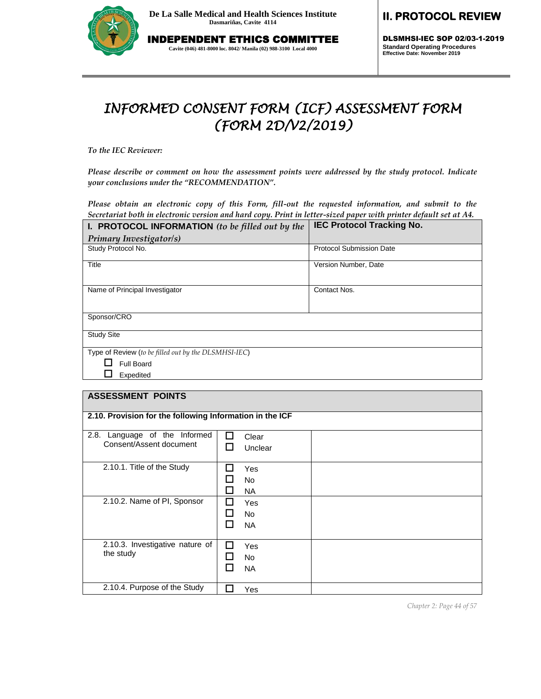

INDEPENDENT ETHICS COMMITTEE

**Cavite (046) 481-8000 loc. 8042/ Manila (02) 988-3100 Local 4000**

# **II. PROTOCOL REVIEW**

DLSMHSI-IEC SOP 02/03-1-2019 **Standard Operating Procedures Effective Date: November 2019**

# *INFORMED CONSENT FORM (ICF) ASSESSMENT FORM (FORM 2D/V2/2019)*

*To the IEC Reviewer:* 

*Please describe or comment on how the assessment points were addressed by the study protocol. Indicate your conclusions under the "RECOMMENDATION".*

*Please obtain an electronic copy of this Form, fill-out the requested information, and submit to the Secretariat both in electronic version and hard copy. Print in letter-sized paper with printer default set at A4.*

| I. PROTOCOL INFORMATION (to be filled out by the     | <b>IEC Protocol Tracking No.</b> |
|------------------------------------------------------|----------------------------------|
| Primary Investigator/s)                              |                                  |
| Study Protocol No.                                   | <b>Protocol Submission Date</b>  |
| Title                                                | Version Number, Date             |
| Name of Principal Investigator                       | Contact Nos.                     |
| Sponsor/CRO                                          |                                  |
| <b>Study Site</b>                                    |                                  |
| Type of Review (to be filled out by the DLSMHSI-IEC) |                                  |
| Full Board                                           |                                  |
| Expedited                                            |                                  |

#### **ASSESSMENT POINTS**

|                                  | 2.10. Provision for the following Information in the ICF |  |  |
|----------------------------------|----------------------------------------------------------|--|--|
|                                  |                                                          |  |  |
| 2.8.<br>Language of the Informed | П<br>Clear                                               |  |  |
| Consent/Assent document          | Unclear<br>LΙ                                            |  |  |
| 2.10.1. Title of the Study       | Yes                                                      |  |  |
|                                  | <b>No</b>                                                |  |  |
|                                  | <b>NA</b>                                                |  |  |
| 2.10.2. Name of PI, Sponsor      | Yes                                                      |  |  |
|                                  | No.                                                      |  |  |
|                                  | <b>NA</b>                                                |  |  |
|                                  |                                                          |  |  |
| 2.10.3. Investigative nature of  | Yes                                                      |  |  |
| the study                        | No.                                                      |  |  |
|                                  | <b>NA</b>                                                |  |  |
| 2.10.4. Purpose of the Study     | Yes                                                      |  |  |

*Chapter 2: Page 44 of 57*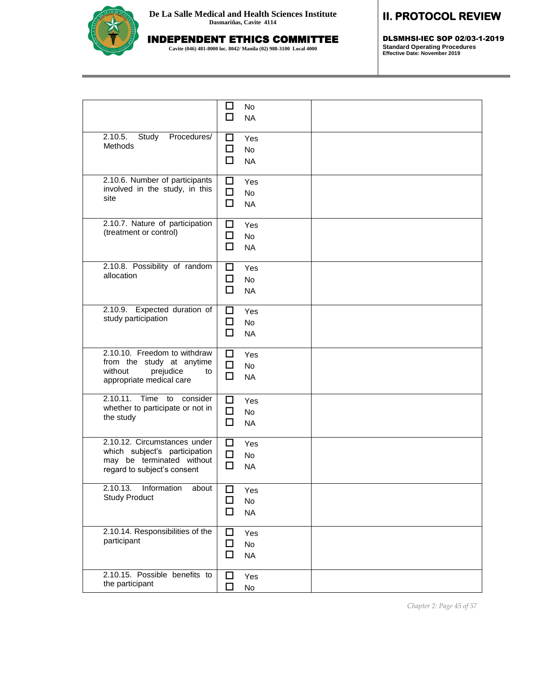# INDEPENDENT ETHICS COMMITTEE

**Cavite (046) 481-8000 loc. 8042/ Manila (02) 988-3100 Local 4000**

# **II. PROTOCOL REVIEW**

DLSMHSI-IEC SOP 02/03-1-2019 **Standard Operating Procedures Effective Date: November 2019**

|                                                                                                                           | $\mathcal{L}_{\mathcal{A}}$<br>No<br>П<br><b>NA</b> |  |
|---------------------------------------------------------------------------------------------------------------------------|-----------------------------------------------------|--|
| 2.10.5.<br>Study<br>Procedures/<br>Methods                                                                                | □<br>Yes<br>□<br>No<br>□<br><b>NA</b>               |  |
| 2.10.6. Number of participants<br>involved in the study, in this<br>site                                                  | □<br>Yes<br>口<br>No<br>□<br><b>NA</b>               |  |
| 2.10.7. Nature of participation<br>(treatment or control)                                                                 | □<br>Yes<br>□<br>No<br>□<br><b>NA</b>               |  |
| 2.10.8. Possibility of random<br>allocation                                                                               | □<br>Yes<br>□<br>No<br>П<br><b>NA</b>               |  |
| 2.10.9. Expected duration of<br>study participation                                                                       | □<br>Yes<br>□<br>No<br>□<br><b>NA</b>               |  |
| 2.10.10. Freedom to withdraw<br>from the study at anytime<br>without<br>prejudice<br>to<br>appropriate medical care       | □<br>Yes<br>□<br><b>No</b><br>□<br><b>NA</b>        |  |
| 2.10.11. Time to<br>consider<br>whether to participate or not in<br>the study                                             | □<br>Yes<br>□<br>No<br>□<br><b>NA</b>               |  |
| 2.10.12. Circumstances under<br>which subject's participation<br>may be terminated without<br>regard to subject's consent | □<br>Yes<br>$\Box$<br>No<br>□<br><b>NA</b>          |  |
| 2.10.13.<br>Information<br>about<br>Study Product                                                                         | □<br>Yes<br>□<br>No<br>□<br><b>NA</b>               |  |
| 2.10.14. Responsibilities of the<br>participant                                                                           | ◻<br>Yes<br>□<br>No<br>□<br><b>NA</b>               |  |
| 2.10.15. Possible benefits to<br>the participant                                                                          | $\Box$<br>Yes<br>□<br>No                            |  |

*Chapter 2: Page 45 of 57*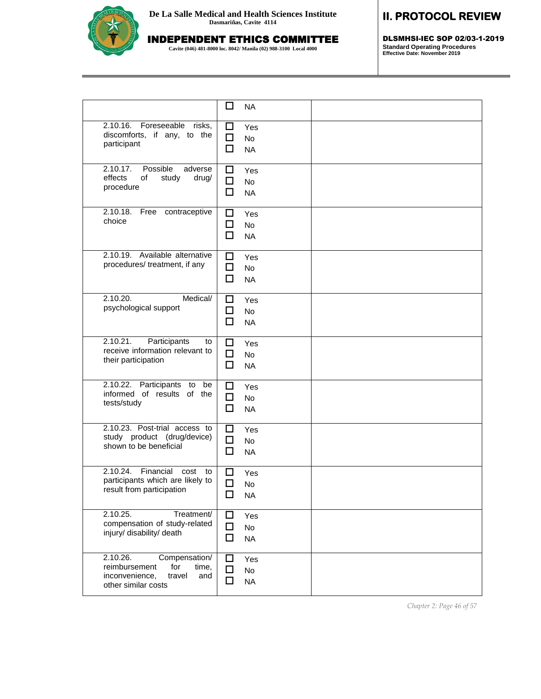# INDEPENDENT ETHICS COMMITTEE

**Cavite (046) 481-8000 loc. 8042/ Manila (02) 988-3100 Local 4000**

# **II. PROTOCOL REVIEW**

DLSMHSI-IEC SOP 02/03-1-2019 **Standard Operating Procedures Effective Date: November 2019**

|                                                                                                                      | ப<br><b>NA</b>                             |  |
|----------------------------------------------------------------------------------------------------------------------|--------------------------------------------|--|
| 2.10.16.<br>Foreseeable risks,<br>discomforts, if any, to the<br>participant                                         | □<br>Yes<br>□<br>No<br>П<br><b>NA</b>      |  |
| 2.10.17.<br>Possible<br>adverse<br>effects<br>of<br>study<br>drug/<br>procedure                                      | □<br>Yes<br>□<br>No<br>п<br><b>NA</b>      |  |
| 2.10.18.<br>Free contraceptive<br>choice                                                                             | □<br>Yes<br>□<br>No<br>□<br><b>NA</b>      |  |
| 2.10.19. Available alternative<br>procedures/ treatment, if any                                                      | □<br>Yes<br>□<br>No<br>□<br><b>NA</b>      |  |
| 2.10.20.<br>Medical/<br>psychological support                                                                        | □<br>Yes<br>□<br>No<br>п<br><b>NA</b>      |  |
| 2.10.21.<br>Participants<br>to<br>receive information relevant to<br>their participation                             | □<br>Yes<br>□<br>No<br>□<br><b>NA</b>      |  |
| 2.10.22. Participants to be<br>informed of results of the<br>tests/study                                             | □<br>Yes<br>□<br>No<br>□<br><b>NA</b>      |  |
| 2.10.23. Post-trial access to<br>study product (drug/device)<br>shown to be beneficial                               | ◻<br>Yes<br>$\Box$<br>No<br>□<br><b>NA</b> |  |
| 2.10.24.<br>Financial<br>cost<br>to<br>participants which are likely to<br>result from participation                 | ΙI<br>Yes<br>П<br>No<br>□<br><b>NA</b>     |  |
| 2.10.25.<br>Treatment/<br>compensation of study-related<br>injury/ disability/ death                                 | П<br>Yes<br>□<br>No<br>□<br><b>NA</b>      |  |
| 2.10.26.<br>Compensation/<br>reimbursement<br>for<br>time,<br>inconvenience,<br>travel<br>and<br>other similar costs | ப<br>Yes<br>ΙI<br>No<br><b>NA</b><br>O     |  |

*Chapter 2: Page 46 of 57*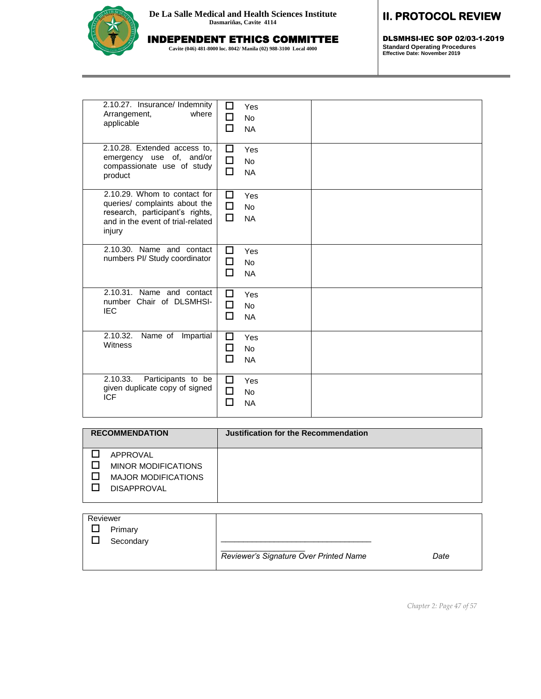

INDEPENDENT ETHICS COMMITTEE

**Cavite (046) 481-8000 loc. 8042/ Manila (02) 988-3100 Local 4000**

# **II. PROTOCOL REVIEW**

DLSMHSI-IEC SOP 02/03-1-2019 **Standard Operating Procedures Effective Date: November 2019**

| 2.10.27. Insurance/ Indemnity<br>where<br>Arrangement,<br>applicable                                                                            | ᄀ<br>Yes<br>П<br>No<br>п<br><b>NA</b>  |  |
|-------------------------------------------------------------------------------------------------------------------------------------------------|----------------------------------------|--|
| 2.10.28. Extended access to,<br>emergency use of, and/or<br>compassionate use of study<br>product                                               | П<br>Yes<br>п<br>No<br>П<br><b>NA</b>  |  |
| 2.10.29. Whom to contact for<br>queries/ complaints about the<br>research, participant's rights,<br>and in the event of trial-related<br>injury | п<br>Yes<br>П<br>No<br>п<br><b>NA</b>  |  |
| 2.10.30. Name and contact<br>numbers PI/ Study coordinator                                                                                      | П<br>Yes<br>п<br>No<br>п<br><b>NA</b>  |  |
| 2.10.31. Name and contact<br>number Chair of DLSMHSI-<br><b>IEC</b>                                                                             | П<br>Yes<br>П<br>No<br>П<br><b>NA</b>  |  |
| 2.10.32.<br>Name of Impartial<br>Witness                                                                                                        | □<br>Yes<br>П<br>No<br>П<br><b>NA</b>  |  |
| 2.10.33.<br>Participants to be<br>given duplicate copy of signed<br><b>ICF</b>                                                                  | □<br>Yes<br>П<br>No<br><b>NA</b><br>ΙI |  |

| <b>RECOMMENDATION</b>                                                                      | Justification for the Recommendation |
|--------------------------------------------------------------------------------------------|--------------------------------------|
| APPROVAL<br><b>MINOR MODIFICATIONS</b><br><b>MAJOR MODIFICATIONS</b><br><b>DISAPPROVAL</b> |                                      |

| Reviewer |                      |                                        |      |
|----------|----------------------|----------------------------------------|------|
|          | Primary<br>Secondary |                                        |      |
|          |                      | Reviewer's Signature Over Printed Name | Date |

*Chapter 2: Page 47 of 57*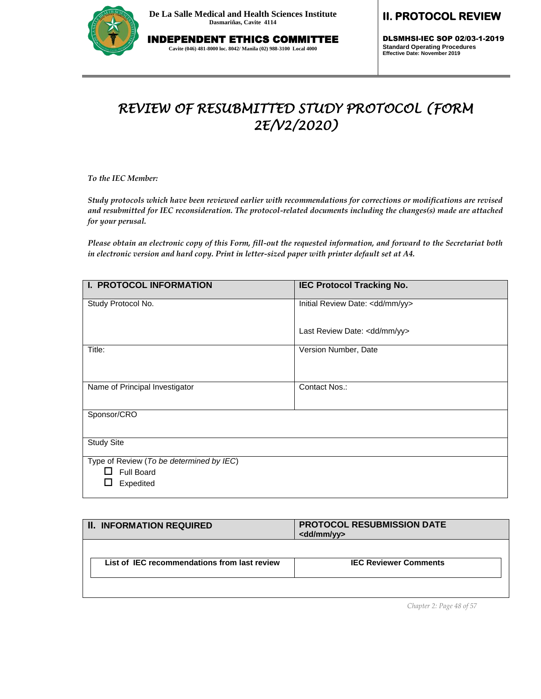

INDEPENDENT ETHICS COMMITTEE **Cavite (046) 481-8000 loc. 8042/ Manila (02) 988-3100 Local 4000**

# **II. PROTOCOL REVIEW**

DLSMHSI-IEC SOP 02/03-1-2019 **Standard Operating Procedures Effective Date: November 2019**

# *REVIEW OF RESUBMITTED STUDY PROTOCOL (FORM 2E/V2/2020)*

*To the IEC Member:* 

*Study protocols which have been reviewed earlier with recommendations for corrections or modifications are revised and resubmitted for IEC reconsideration. The protocol-related documents including the changes(s) made are attached for your perusal.*

*Please obtain an electronic copy of this Form, fill-out the requested information, and forward to the Secretariat both in electronic version and hard copy. Print in letter-sized paper with printer default set at A4.*

| <b>I. PROTOCOL INFORMATION</b>                                                   | <b>IEC Protocol Tracking No.</b> |
|----------------------------------------------------------------------------------|----------------------------------|
| Study Protocol No.                                                               | Initial Review Date: < dd/mm/yy> |
|                                                                                  | Last Review Date: < dd/mm/yy>    |
| Title:                                                                           | Version Number, Date             |
| Name of Principal Investigator                                                   | Contact Nos.:                    |
| Sponsor/CRO                                                                      |                                  |
| <b>Study Site</b>                                                                |                                  |
| Type of Review (To be determined by IEC)<br><b>Full Board</b><br>ΙI<br>Expedited |                                  |

| <b>II. INFORMATION REQUIRED</b>              | <b>PROTOCOL RESUBMISSION DATE</b><br><dd mm="" yy=""></dd> |
|----------------------------------------------|------------------------------------------------------------|
| List of IEC recommendations from last review | <b>IEC Reviewer Comments</b>                               |
|                                              |                                                            |

*Chapter 2: Page 48 of 57*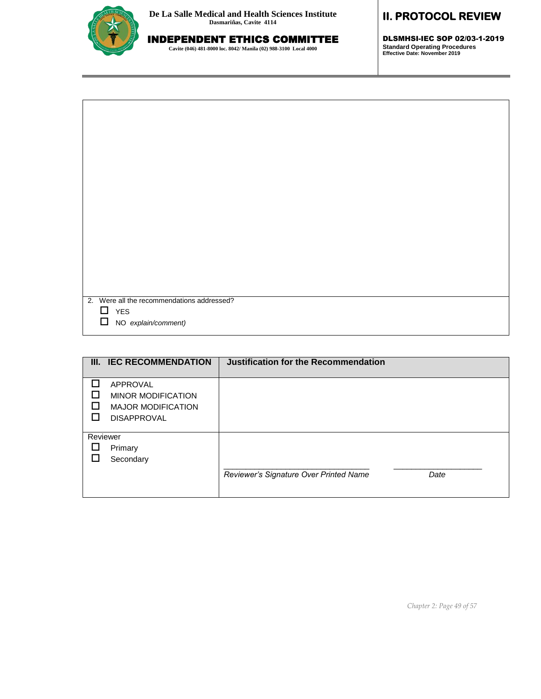

# INDEPENDENT ETHICS COMMITTEE

**Cavite (046) 481-8000 loc. 8042/ Manila (02) 988-3100 Local 4000**

## **II. PROTOCOL REVIEW**

DLSMHSI-IEC SOP 02/03-1-2019 **Standard Operating Procedures Effective Date: November 2019**

| 2. Were all the recommendations addressed? |  |
|--------------------------------------------|--|
| $\Box$ YES                                 |  |
| $\Box$<br>NO explain/comment)              |  |
|                                            |  |

|          | III. IEC RECOMMENDATION                                                                         | Justification for the Recommendation   |      |
|----------|-------------------------------------------------------------------------------------------------|----------------------------------------|------|
| H        | <b>APPROVAL</b><br><b>MINOR MODIFICATION</b><br><b>MAJOR MODIFICATION</b><br><b>DISAPPROVAL</b> |                                        |      |
| Reviewer |                                                                                                 |                                        |      |
|          | Primary                                                                                         |                                        |      |
|          | Secondary                                                                                       |                                        |      |
|          |                                                                                                 | Reviewer's Signature Over Printed Name | Date |

*Chapter 2: Page 49 of 57*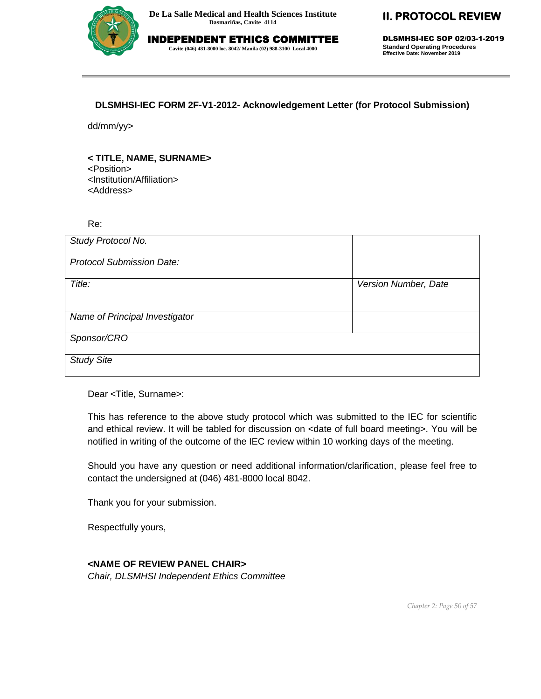

# INDEPENDENT ETHICS COMMITTEE

**Cavite (046) 481-8000 loc. 8042/ Manila (02) 988-3100 Local 4000**

## **II. PROTOCOL REVIEW**

DLSMHSI-IEC SOP 02/03-1-2019 **Standard Operating Procedures Effective Date: November 2019**

#### **DLSMHSI-IEC FORM 2F-V1-2012- Acknowledgement Letter (for Protocol Submission)**

dd/mm/yy>

#### **< TITLE, NAME, SURNAME>**

<Position>

<Institution/Affiliation>

<Address>

Re:

| Study Protocol No.               |                      |
|----------------------------------|----------------------|
| <b>Protocol Submission Date:</b> |                      |
| Title:                           | Version Number, Date |
| Name of Principal Investigator   |                      |
| Sponsor/CRO                      |                      |
| <b>Study Site</b>                |                      |

Dear <Title, Surname>:

This has reference to the above study protocol which was submitted to the IEC for scientific and ethical review. It will be tabled for discussion on <date of full board meeting>. You will be notified in writing of the outcome of the IEC review within 10 working days of the meeting.

Should you have any question or need additional information/clarification, please feel free to contact the undersigned at (046) 481-8000 local 8042.

Thank you for your submission.

Respectfully yours,

#### **<NAME OF REVIEW PANEL CHAIR>**

*Chair, DLSMHSI Independent Ethics Committee*

*Chapter 2: Page 50 of 57*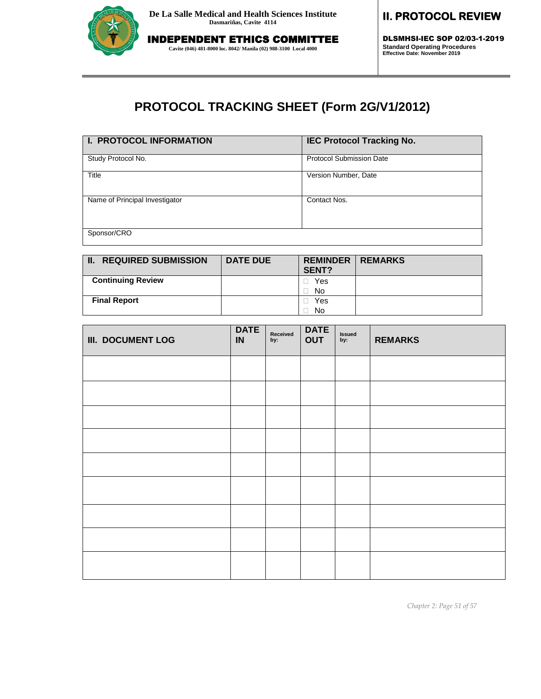

DLSMHSI-IEC SOP 02/03-1-2019 **Standard Operating Procedures Effective Date: November 2019**

# **PROTOCOL TRACKING SHEET (Form 2G/V1/2012)**

| I. PROTOCOL INFORMATION        | <b>IEC Protocol Tracking No.</b> |
|--------------------------------|----------------------------------|
| Study Protocol No.             | <b>Protocol Submission Date</b>  |
| Title                          | Version Number, Date             |
| Name of Principal Investigator | Contact Nos.                     |
| Sponsor/CRO                    |                                  |

| <b>II. REQUIRED SUBMISSION</b> | <b>DATE DUE</b> | <b>REMINDER</b> I<br>SENT? | <b>REMARKS</b> |
|--------------------------------|-----------------|----------------------------|----------------|
| <b>Continuing Review</b>       |                 | Yes                        |                |
|                                |                 | No                         |                |
| <b>Final Report</b>            |                 | Yes                        |                |
|                                |                 | No                         |                |

| <b>III. DOCUMENT LOG</b> | <b>DATE</b><br>IN | Received<br>by: | <b>DATE</b><br><b>OUT</b> | Issued<br>by: | <b>REMARKS</b> |
|--------------------------|-------------------|-----------------|---------------------------|---------------|----------------|
|                          |                   |                 |                           |               |                |
|                          |                   |                 |                           |               |                |
|                          |                   |                 |                           |               |                |
|                          |                   |                 |                           |               |                |
|                          |                   |                 |                           |               |                |
|                          |                   |                 |                           |               |                |
|                          |                   |                 |                           |               |                |
|                          |                   |                 |                           |               |                |
|                          |                   |                 |                           |               |                |

*Chapter 2: Page 51 of 57*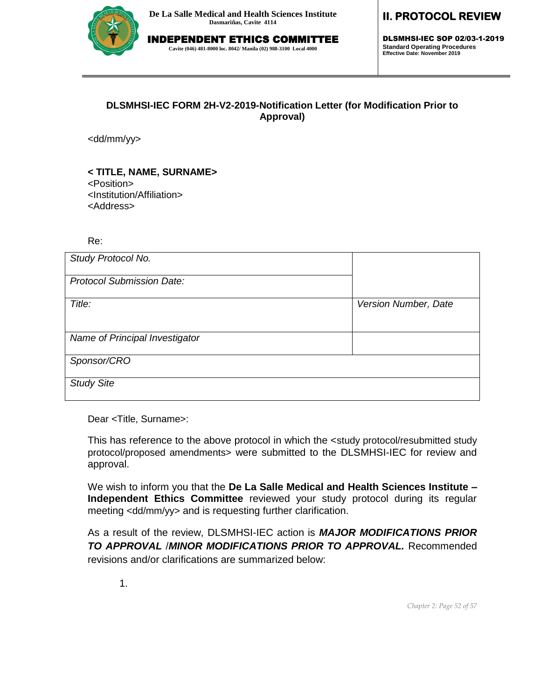

# INDEPENDENT ETHICS COMMITTEE

**Cavite (046) 481-8000 loc. 8042/ Manila (02) 988-3100 Local 4000**

### **II. PROTOCOL REVIEW**

DLSMHSI-IEC SOP 02/03-1-2019 **Standard Operating Procedures Effective Date: November 2019**

#### **DLSMHSI-IEC FORM 2H-V2-2019-Notification Letter (for Modification Prior to Approval)**

<dd/mm/yy>

#### **< TITLE, NAME, SURNAME>**

<Position>

<Institution/Affiliation> <Address>

#### Re:

| Study Protocol No.               |                      |
|----------------------------------|----------------------|
| <b>Protocol Submission Date:</b> |                      |
| Title:                           | Version Number, Date |
| Name of Principal Investigator   |                      |
| Sponsor/CRO                      |                      |
| <b>Study Site</b>                |                      |

Dear <Title, Surname>:

This has reference to the above protocol in which the <study protocol/resubmitted study protocol/proposed amendments> were submitted to the DLSMHSI-IEC for review and approval.

We wish to inform you that the **De La Salle Medical and Health Sciences Institute – Independent Ethics Committee** reviewed your study protocol during its regular meeting <dd/mm/yy> and is requesting further clarification.

As a result of the review, DLSMHSI-IEC action is *MAJOR MODIFICATIONS PRIOR TO APPROVAL* /*MINOR MODIFICATIONS PRIOR TO APPROVAL.* Recommended revisions and/or clarifications are summarized below:

1.

*Chapter 2: Page 52 of 57*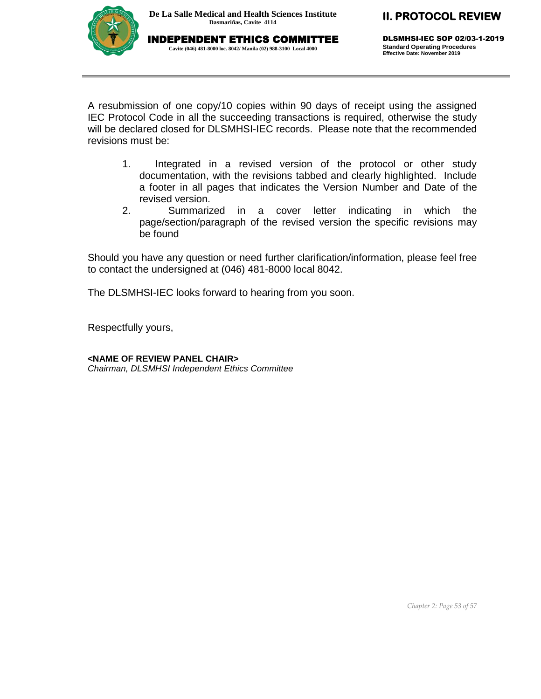

DLSMHSI-IEC SOP 02/03-1-2019 **Standard Operating Procedures Effective Date: November 2019**

A resubmission of one copy/10 copies within 90 days of receipt using the assigned IEC Protocol Code in all the succeeding transactions is required, otherwise the study will be declared closed for DLSMHSI-IEC records. Please note that the recommended revisions must be:

- 1. Integrated in a revised version of the protocol or other study documentation, with the revisions tabbed and clearly highlighted. Include a footer in all pages that indicates the Version Number and Date of the revised version.
- 2. Summarized in a cover letter indicating in which the page/section/paragraph of the revised version the specific revisions may be found

Should you have any question or need further clarification/information, please feel free to contact the undersigned at (046) 481-8000 local 8042.

The DLSMHSI-IEC looks forward to hearing from you soon.

Respectfully yours,

**<NAME OF REVIEW PANEL CHAIR>**

*Chairman, DLSMHSI Independent Ethics Committee*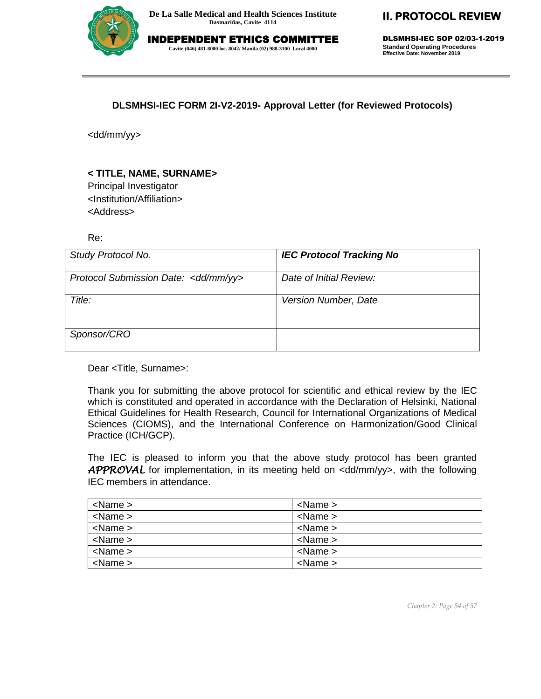

DLSMHSI-IEC SOP 02/03-1-2019 **Standard Operating Procedures Effective Date: November 2019**

**DLSMHSI-IEC FORM 2I-V2-2019- Approval Letter (for Reviewed Protocols)**

<dd/mm/yy>

#### **< TITLE, NAME, SURNAME>**

Principal Investigator <Institution/Affiliation> <Address>

Re:

| Study Protocol No.                    | <b>IEC Protocol Tracking No</b> |
|---------------------------------------|---------------------------------|
| Protocol Submission Date: < dd/mm/yy> | Date of Initial Review:         |
| Title:                                | Version Number, Date            |
| Sponsor/CRO                           |                                 |

Dear <Title, Surname>:

Thank you for submitting the above protocol for scientific and ethical review by the IEC which is constituted and operated in accordance with the Declaration of Helsinki, National Ethical Guidelines for Health Research, Council for International Organizations of Medical Sciences (CIOMS), and the International Conference on Harmonization/Good Clinical Practice (ICH/GCP).

The IEC is pleased to inform you that the above study protocol has been granted APPROVAL for implementation, in its meeting held on <dd/mm/yy>, with the following IEC members in attendance.

| $<$ Name $>$ | $<$ Name $>$      |
|--------------|-------------------|
| $<$ Name $>$ | $\alpha$ Name $>$ |
| $<$ Name $>$ | $<$ Name $>$      |
| $<$ Name $>$ | $<$ Name $>$      |
| $<$ Name $>$ | $<$ Name $>$      |
| $<$ Name $>$ | $<$ Name $>$      |

*Chapter 2: Page 54 of 57*